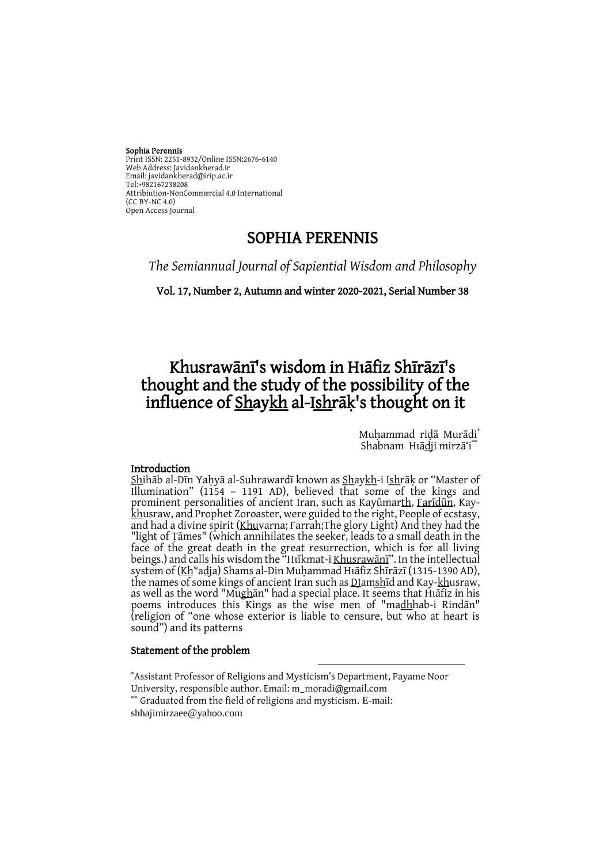#### Sophia Perennis

Print ISSN: 2251-8932/Online ISSN:2676-6140 Web Address: Javidankherad.ir Email: [javidankherad@irip.ac.ir](mailto:javidankherad@irip.ac.ir) [Tel:+982167238208](tel:+982167238208) Attribiution-NonCommercial 4.0 International (CC BY-NC 4.0) Open Access Journal

# SOPHIA PERENNIS

*The Semiannual Journal of Sapiential Wisdom and Philosophy*

Vol. 17, Number 2, Autumn and winter 2020-2021, Serial Number 38

# Khusrawānī's wisdom in Hıāfiz Shīrāzī's thought and the study of the possibility of the influence of **Shaykh** al-Ishrak's thought on it

Muhammad ridā Murādi<sup>\*</sup> Shabnam Huādji mirzā'i

#### Introduction

Shihāb al-Dīn Yahyā al-Suhrawardī known as Shaykh-i Ishrāk or "Master of Illumination" (1154 – 1191 AD), believed that some of the kings and prominent personalities of ancient Iran, such as Kayūmarth, [Farīdūn](https://referenceworks.brillonline.com/entries/encyclopaedia-of-islam-2/faridun-DUM_1270?s.num=1&s.f.s2_parent=s.f.book.encyclopaedia-of-islam-2&s.q=faridun), Kaykhusraw, and Prophet Zoroaster, were guided to the right, People of ecstasy, and had a divine spirit (Khuvarna; Farrah;The glory Light) And they had the "light of Ṭāmes" (which annihilates the seeker, leads to a small death in the face of the great death in the great resurrection, which is for all living beings.) and calls his wisdom the "Hukmat-i Khusrawānī". In the intellectual system of (Kh<sup>w</sup>adja) Shams al-Din Muḥammad Hīāfiz Shīrāzī (1315-1390 AD), the names of some kings of ancient Iran such as DJamshid and Kay-khusraw, as well as the word "Mughān" had a special place. It seems that Huafiz in his poems introduces this Kings as the wise men of "madhhab-i Rindan" (religion of "one whose exterior is liable to censure, but who at heart is sound") and its patterns

#### Statement of the problem

\*Assistant Professor of Religions and Mysticism's Department, Payame Noor University, responsible author. Email: m\_moradi@gmail.com \*\* Graduated from the field of religions and mysticism. E-mail: shhajimirzaee@yahoo.com

-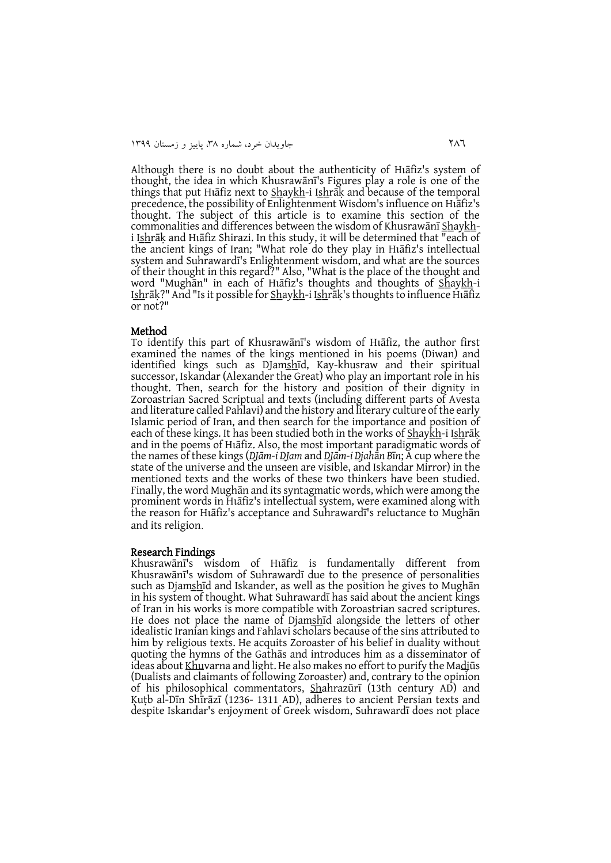Although there is no doubt about the authenticity of Hastiz's system of thought, the idea in which Khusrawānī's Figures play a role is one of the things that put Hiafiz next to **Shaykh**-i Ishrak and because of the temporal precedence, the possibility of Enlightenment Wisdom's influence on Huafiz's thought. The subject of this article is to examine this section of the commonalities and differences between the wisdom of Khusrawani Shaykhi Ishrāķ and Hiāfiz Shirazi. In this study, it will be determined that "each of the ancient kings of Iran; "What role do they play in Huafiz's intellectual system and Suhrawardī's Enlightenment wisdom, and what are the sources of their thought in this regard?" Also, "What is the place of the thought and word "Mughān" in each of Hıāfiz's thoughts and thoughts of <u>Sh</u>ay<u>kh</u>-i Ishrāķ?" And "Is it possible for Shaykh-i Ishrāķ's thoughts to influence Huafiz or not?"

#### Method

To identify this part of Khusrawānī's wisdom of Haafiz, the author first examined the names of the kings mentioned in his poems (Diwan) and identified kings such as DJamshīd, Kay-khusraw and their spiritual successor, Iskandar (Alexander the Great) who play an important role in his thought. Then, search for the history and position of their dignity in Zoroastrian Sacred Scriptual and texts (including different parts of Avesta and literature called Pahlavi) and the history and literary culture of the early Islamic period of Iran, and then search for the importance and position of each of these kings. It has been studied both in the works of Shaykh-i Ishrāk and in the poems of Haafiz. Also, the most important paradigmatic words of the names of these kings (*DJām-i DJam* and *DJām-i Djah*ā*n B*ī*n*; A cup where the state of the universe and the unseen are visible, and Iskandar Mirror) in the mentioned texts and the works of these two thinkers have been studied. Finally, the word Mughān and its syntagmatic words, which were among the prominent words in Haafiz's intellectual system, were examined along with the reason for Hiafiz's acceptance and Suhrawardi's reluctance to Mughan and its religion.

#### Research Findings

Khusrawānī's wisdom of Hīafiz is fundamentally different from Khusrawānī's wisdom of Suhrawardī due to the presence of personalities such as Djamshid and Iskander, as well as the position he gives to Mughan in his system of thought. What Suhrawardī has said about the ancient kings of Iran in his works is more compatible with Zoroastrian sacred scriptures. He does not place the name of Djamshid alongside the letters of other idealistic Iranian kings and Fahlavi scholars because of the sins attributed to him by religious texts. He acquits Zoroaster of his belief in duality without quoting the hymns of the Gathās and introduces him as a disseminator of ideas about Khuvarna and light. He also makes no effort to purify the Madjūs (Dualists and claimants of following Zoroaster) and, contrary to the opinion of his philosophical commentators, Shahrazūrī (13th century AD) and Ḳuṭb al-Dīn Shīrāzī (1236- 1311 AD), adheres to ancient Persian texts and despite Iskandar's enjoyment of Greek wisdom, Suhrawardī does not place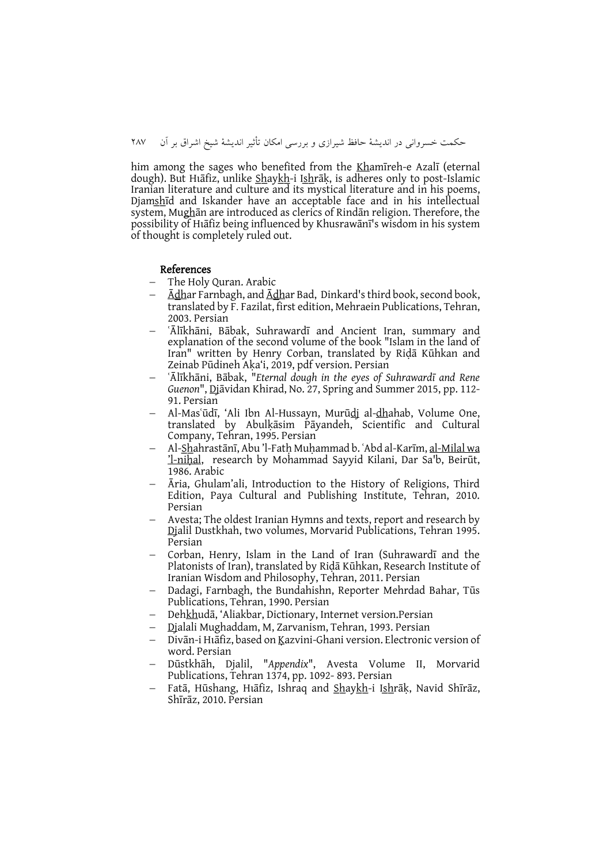him among the sages who benefited from the Khamīreh-e Azalī (eternal dough). But Hīāfiz, unlike <u>Sh</u>ay<u>kh</u>-i I<u>sh</u>rāķ, is adheres only to post-Islamic Iranian literature and culture and its mystical literature and in his poems, Djams̲h̲īd and Iskander have an acceptable face and in his intellectual system, Mughān are introduced as clerics of Rindān religion. Therefore, the possibility of Hiafiz being influenced by Khusrawānī's wisdom in his system of thought is completely ruled out.

#### References

- The Holy Quran. Arabic
- $\overline{\text{A}$ dhar Farnbagh, and  $\overline{\text{A}$ dhar Bad, Dinkard's third book, second book, translated by F. Fazilat, first edition, Mehraein Publications, Tehran, 2003. Persian
- ʿĀlīkhāni, Bābak, Suhrawardī and Ancient Iran, summary and explanation of the second volume of the book "Islam in the land of Iran" written by Henry Corban, translated by Riḍā Kūhkan and Zeinab Pūdineh Aḳa'i, 2019, pdf version. Persian
- ʿĀlīkhāni, Bābak, "*Eternal dough in the eyes of Suhrawardī and Rene Guenon*", Djāvidan Khirad, No. 27, Spring and Summer 2015, pp. 112- 91. Persian
- Al-Masʿūdī, 'Ali Ibn Al-Hussayn, Murū<u>d</u>j al-<u>dh</u>ahab, Volume One, translated by Abulḳāsim Pāyandeh, Scientific and Cultural Company, Tehran, 1995. Persian
- Al-S̲h̲ahrastānī, Abu 'l-Fatḥ Muḥammad b. ʿAbd al-Karīm[, al-Milal wa](https://referenceworks.brillonline.com/entries/encyclopaedia-of-islam-2/al-milal-wa-l-nihal-SIM_5198?s.num=0&s.f.s2_parent=s.f.book.encyclopaedia-of-islam-2&s.q=al-Milal+wa+l-nihal%2C)  'l[-ni](https://referenceworks.brillonline.com/entries/encyclopaedia-of-islam-2/al-milal-wa-l-nihal-SIM_5198?s.num=0&s.f.s2_parent=s.f.book.encyclopaedia-of-islam-2&s.q=al-Milal+wa+l-nihal%2C)ḥal, research by Mohammad Sayyid Kilani, Dar Sa'b, Beirūt, 1986. Arabic
- Āria, Ghulam'ali, Introduction to the History of Religions, Third Edition, Paya Cultural and Publishing Institute, Tehran, 2010. Persian
- Avesta; The oldest Iranian Hymns and texts, report and research by Djalil Dustkhah, two volumes, Morvarid Publications, Tehran 1995. Persian
- Corban, Henry, Islam in the Land of Iran (Suhrawardī and the Platonists of Iran), translated by Riḍā Kūhkan, Research Institute of Iranian Wisdom and Philosophy, Tehran, 2011. Persian
- Dadagi, Farnbagh, the Bundahishn, Reporter Mehrdad Bahar, Tūs Publications, Tehran, 1990. Persian
- Dehkhudā, 'Aliakbar, Dictionary, Internet version.Persian
- Djalali Mughaddam, M, Zarvanism, Tehran, 1993. Persian
- Divān-i Hīāfiz, based on Ķazvini-Ghani version. Electronic version of word. Persian
- Dūstkhāh, Djalil, "*Appendix*", Avesta Volume II, Morvarid Publications, Tehran 1374, pp. 1092- 893. Persian
- Fatā, Hūshang, Hīafiz, Ishraq and Shaykh-i Ishrāk, Navid Shīrāz, Shīrāz, 2010. Persian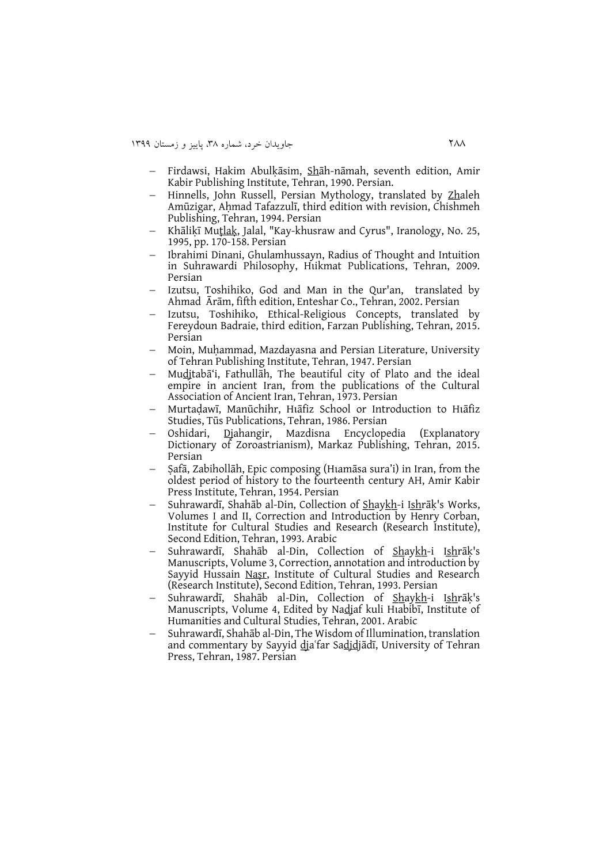- Firdawsi, Hakim Abulḳāsim, Shāh-nāmah, seventh edition, Amir Kabir Publishing Institute, Tehran, 1990. Persian.
- Hinnells, John Russell, Persian Mythology, translated by Zhaleh Amūzigar, Aḥmad Tafazzulī, third edition with revision, Chishmeh Publishing, Tehran, 1994. Persian
- Khāliḳī Muṭ[la](https://referenceworks.brillonline.com/entries/encyclopaedia-of-islam-2/mutlak-SIM_5675?s.num=0&s.f.s2_parent=s.f.book.encyclopaedia-of-islam-2&s.q=mutlak)ḳ, Jalal, "Kay-khusraw and Cyrus", Iranology, No. 25, 1995, pp. 170-158. Persian
- Ibrahimi Dinani, Ghulamhussayn, Radius of Thought and Intuition in Suhrawardi Philosophy, Hukmat Publications, Tehran, 2009. Persian
- Izutsu, Toshihiko, God and Man in the Qur'an, translated by Ahmad Ārām, fifth edition, Enteshar Co., Tehran, 2002. Persian
- Izutsu, Toshihiko, Ethical-Religious Concepts, translated by Fereydoun Badraie, third edition, Farzan Publishing, Tehran, 2015. Persian
- Moin, Muḥammad, Mazdayasna and Persian Literature, University of Tehran Publishing Institute, Tehran, 1947. Persian
- Mudjtabā'i, Fathullāh, The beautiful city of Plato and the ideal empire in ancient Iran, from the publications of the Cultural Association of Ancient Iran, Tehran, 1973. Persian
- Murtaḍawī, Manūchihr, Hīafiz School or Introduction to Hīafiz Studies, Tūs Publications, Tehran, 1986. Persian
- Oshidari, Djahangir, Mazdisna Encyclopedia (Explanatory Dictionary of Zoroastrianism), Markaz Publishing, Tehran, 2015. Persian
- Safā, Zabihollāh, Epic composing (Huamāsa sura'i) in Iran, from the oldest period of history to the fourteenth century AH, Amir Kabir Press Institute, Tehran, 1954. Persian
- Suhrawardī, Shahāb al-Din, Collection of Shaykh-i Ishrāķ's Works, Volumes I and II, Correction and Introduction by Henry Corban, Institute for Cultural Studies and Research (Research Institute), Second Edition, Tehran, 1993. Arabic
- Suhrawardī, Shahāb al-Din, Collection of Shaykh-i Ishrāķ's Manuscripts, Volume 3, Correction, annotation and introduction by Sayyid Hussain [Na](https://referenceworks.brillonline.com/entries/encyclopaedia-of-islam-2/abu-nasr-DUM_0091?s.num=2&s.f.s2_parent=s.f.book.encyclopaedia-of-islam-2&s.q=Nasr)ṣr, Institute of Cultural Studies and Research (Research Institute), Second Edition, Tehran, 1993. Persian
- Suhrawardī, Shahāb al-Din, Collection of <u>Sh</u>ay<u>kh</u>-i I<u>sh</u>rāķ's Manuscripts, Volume 4, Edited by Nadjaf kuli Hiabibī, Institute of Humanities and Cultural Studies, Tehran, 2001. Arabic
- Suhrawardī, Shahāb al-Din, The Wisdom of Illumination, translation and commentary by Sayyid dia'far Sadidjādī, University of Tehran Press, Tehran, 1987. Persian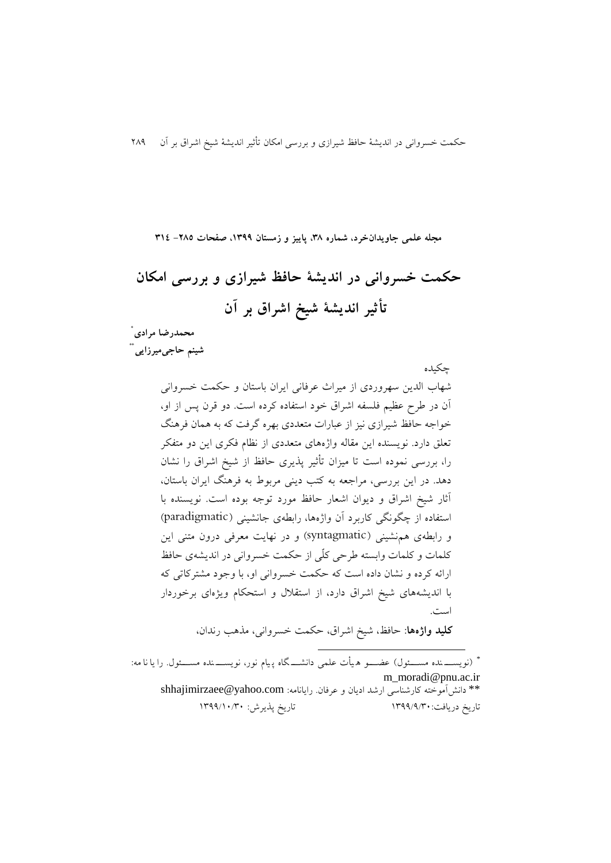#### **مجله علمی جاویدانخرد، شماره ،83 پاییز و زمستان ،9811 صفحات -532 893**

**حکمت خسروانی در اندیشة حافظ شیرازی و بررسی امکان تأثیر اندیشة شیخ اشراق بر آن**

چکیده

**\* محمدرضا مرادی شینم حاجیمیرزایی\*\***

> شهاب الدين سهروردی از میراث عرفانی ايران باستان و حکمت خسروانی آن در طرح عظیم فلسفه اشراق خود استفاده کرده است. دو قرن پس از او، خواجه حافظ شیرازی نیز از عبارات متعددی بهره گرفت که به همان فرهنگ تعلق دارد. نويسنده اين مقاله واژههای متعددی از نظام فکری اين دو متفکر را، بررسی نموده است تا میزان تأثیر پذيری حافظ از شیخ اشراق را نشان دهد. در اين بررسی، مراجعه به کتب دينی مربوط به فرهنگ ايران باستان، آثار شیخ اشراق و ديوان اشعار حافظ مورد توجه بوده است. نويسنده با استفاده از چگونگی کاربرد آن واژهها، رابطهی جانشینی )paradigmatic ) و رابطهی همنشینی )syntagmatic )و در نهايت معرفی درون متنی اين کلمات و کلمات وابسته طرحی کلّی از حکمت خسروانی در انديشهی حافظ ارائه کرده و نشان داده است که حکمت خسروانی او، با وجود مشترکاتی که با انديشههای شیخ اشراق دارد، از استقالل و استحکام ويژهای برخوردار است.

**کلید واژهها**: حافظ، شیخ اشراق، حکمت خسروانی، مذهب رندان،

**.** \* )نويسننن نده مسننن ول( عضنننو ه یأت علمی دانشننن گاه پ یام نور، نويسننن نده مسننن ول. را يا نا مه: m\_moradi@pnu.ac.ir \*\* دانشآموخته کارشناسی ارشد اديان و عرفان. رايانامه: com.yahoo@shhajimirzaee تاريخ دريافت: ١٣٩٩/٩/٣٠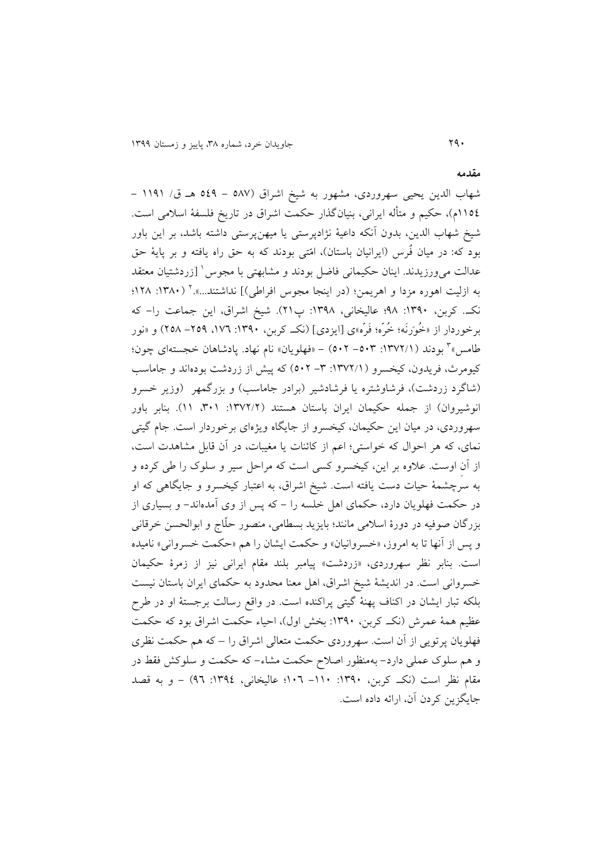شهاب الدين يحیی سهروردی، مشهور به شیخ اشراق )782 - 741 هن ق/ 9919 - 9974م(، حکیم و متأله ايرانی، بنیانگذار حکمت اشراق در تاريخ فلسفة اسالمی است. شیخ شهاب الدين، بدون آنکه داعیة نژادپرستی يا میهنپرستی داشته باشد، بر اين باور بود که: در میان فُرس (ايرانيان باستان)، امّتی بودند که به حق راه يافته و بر پايهٔ حق عدالت میeرزیدند. اینان حکیمانی فاضل بودند و مشابهتی با مجوس<sup>۱</sup> [زردشتیان معتقد به ازلیت اهوره مزدا و اهریمن؛ (در اینجا مجوس افراطی)] نداشتند...».' (۱۳۸۰: ۱۲۸؛ نکن.. کربن، :9813 18؛ عالیخانی، :9818 پ69(. شیخ اشراق، اين جماعت را- که برخوردار از »خُوَرنَه؛ خُرّه؛ فَرّه«ی ]ايزدی[ )نکن. کربن، :9813 ،922 -671 678( و »نور 8 طامس« بودند ):9826/9 -738 736( - »فهلويان« نام نهاد. پادشاهان خجستهای چون؛ کیومرث، فريدون، کیخسرو ):9826/9 -8 736( که پیش از زردشت بودهاند و جاماسب (شاگرد زردشت)، فرشاوشتره يا فرشادشير (برادر جاماسب) و بزرگمهر (وزير خسرو انوشیروان) از جمله حکیمان ایران باستان هستند (١٣٧٢/٢: ٣٠١). بنابر باور سهروردی، در میان اين حکیمان، کیخسرو از جايگاه ويژهای برخوردار است. جام گیتی نمای، که هر احوال که خواستی؛ اعم از کائنات يا مغیبات، در آن قابل مشاهدت است، از آنِ اوست. عالوه بر اين، کیخسرو کسی است که مراحل سیر و سلوک را طی کرده و به سرچشمة حیات دست يافته است. شیخ اشراق، به اعتبار کیخسرو و جايگاهی که او در حکمت فهلويان دارد، حکمای اهل خلسه را - که پس از وی آمدهاند- و بسیاری از بزرگان صوفیه در دورة اسالمی مانند؛ بايزيد بسطامی، منصور حلّاج و ابوالحسن خرقانی و پس از آنها تا به امروز، «خسروانیان» و حکمت ايشان را هم «حکمت خسروانی» ناميده است. بنابر نظر سهروردی، »زردشت« پیامبر بلند مقام ايرانی نیز از زمرة حکیمان خسروانی است. در انديشة شیخ اشراق، اهل معنا محدود به حکمای ايران باستان نیست بلکه تبار ايشان در اکناف پهنة گیتی پراکنده است. در واقع رسالت برجستة او در طرح عظیم همهٔ عمرش (نک کربن، ۱۳۹۰: بخش اول)، احیاء حکمت اشراق بود که حکمت فهلويان پرتويی از آن است. سهروردی حکمت متعالی اشراق را – که هم حکمت نظری و هم سلوک عملی دارد- بهمنظور اصالح حکمت مشاء- که حکمت و سلوکش فقط در مقام نظر است (نک کربن، ۱۳۹۰: ۱۰۱– ۱۰۲؟ عالیخانی، ١٣٩٤: ۹٦) – و به قصد جايگزين کردن آن، ارائه داده است.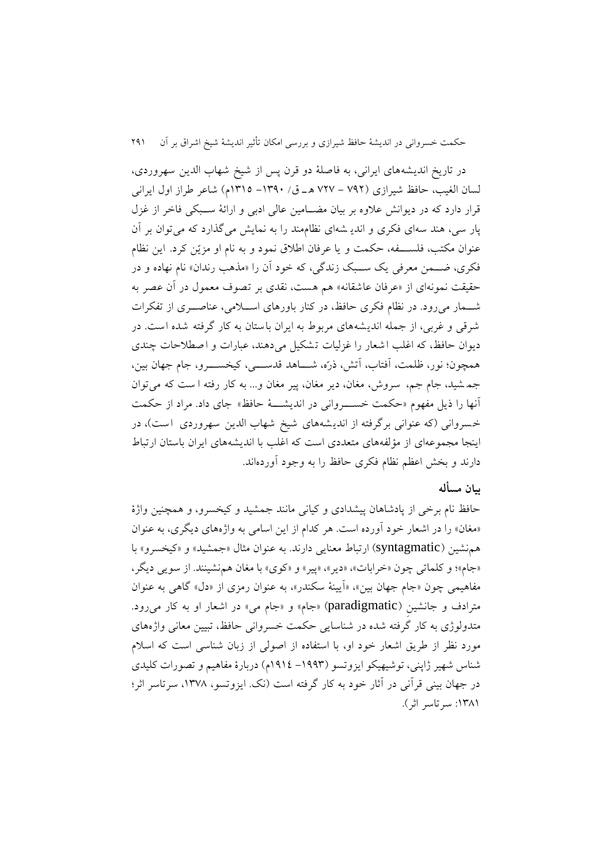در تاريخ انديشه های ايرانی، به فاصلة دو قرن پس از شیخ شهاب الدين سهروردی، لسان الغیب، حافظ شیرازی )216 - 262 ه ن ق/ -9813 9897م( شاعر طراز اول ايرانی قرار دارد که در ديوانش عالوه بر بیان مضننامین عالی ادبی و ارائة سننبکی فاخر از غزل پار سی، هند سه ای فکری و اندي شه ای نظاممند را به نمايش میگذارد که میتوان بر آن عنوان مکتب، فلسنننفه، حکمت و يا عرفان اطالق نمود و به نام او مزيّن کرد. اين نظام فکری، ضمن معرفی يک سبک زندگی، که خود آن را «مذهب رندان» نام نهاده و در حقیقت نمونهای از »عرفان عاشقانه « هم هست ، نقدی بر تصوف معمول در آن عصر به شننمار میرود. در نظام فکری حافظ، در کنار باورهای اسننالمی، عناصننری از تفکرات شرقی و غربی، از جمله انديشه های مربوط به ايران باستان به کار گرفته شده است. در ديوان حافظ، که اغلب اشعار را غزلیات تشکیل می دهند، عبارات و اصطالحات چندی همچون؛ نور، ظلمت، آفتاب، آتش، ذرّه، شننناهد قدسنننی، کیخسنننرو، جام جهان بین، جم شید، جام جم، سروش، مغان، دير مغان، پیر مغان و... به کار رفته ا ست که میتوان آنها را ذيل مفهوم »حکمت خسنننروانی در انديشنننة حافظ « جای داد. مراد از حکمت خسروانی (که عنوانی برگرفته از انديشههای شیخ شهاب الدين سهروردی است)، در اينجا مجموعهای از مؤلفههای متعددی است که اغلب با انديشه های ايران باستان ارتباط دارند و بخش اعظم نظام فکری حافظ را به وجود آوردهاند.

### **بیان مسأله**

حافظ نام برخی از پادشاهان پیشدادی و کیانی مانند جمشید و کیخسرو، و همچنین واژة «مغان» را در اشعار خود آورده است. هر کدام از اين اسامی به واژههای ديگری، به عنوان همنشین )syntagmatic )ارتباط معنايی دارند. به عنوان مثال »جمشید« و »کیخسرو« با «جام»؛ و کلماتی چون «خرابات»، «دير»، «پير» و «کوي» با مغان هم نشينند. از سويي ديگر، مفاهیمی چون «جام جهان بین»، «آیینهٔ سکندر»، به عنوان رمزی از «دل» گاهی به عنوان مترادف و جانشینِ (paradigmatic) «جام» و «جام می» در اشعار او به کار می رود. متدولوژی به کار گرفته شده در شناسايی حکمت خسروانی حافظ، تبیین معانی واژههای مورد نظر از طريق اشعار خود او، با استفاده از اصولی از زبان شناسی است که اسالم شناس شهیر ژاپنی، توشیهیکو ايزوتسو )-9118 9194م( دربارة مفاهیم و تصورات کلیدی در جهان بینی قرآنی در آثار خود به کار گرفته است (نک. ایزوتسو، ۱۳۷۸، سرتاسر اثر؛ ١٣٨١: سرتاسر اثر).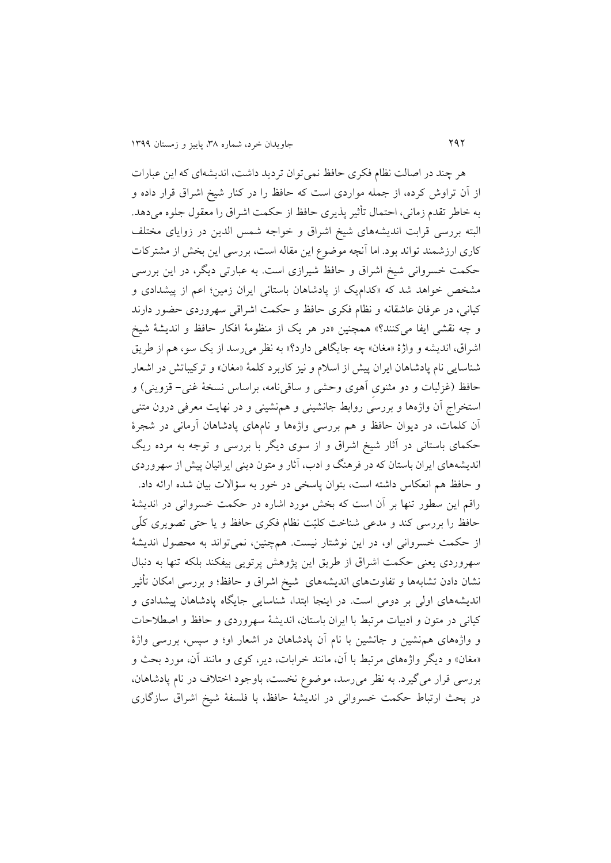هر چند در اصالت نظام فکری حافظ نمیتوان ترديد داشت، انديشهای که اين عبارات از آن تراوش کرده، از جمله مواردی است که حافظ را در کنار شیخ اشراق قرار داده و به خاطر تقدم زمانی، احتمال تأثیر پذيری حافظ از حکمت اشراق را معقول جلوه میدهد. البته بررسی قرابت انديشههای شیخ اشراق و خواجه شمس الدين در زوايای مختلف کاری ارزشمند تواند بود. اما آنچه موضوع اين مقاله است، بررسی اين بخش از مشترکات حکمت خسروانی شیخ اشراق و حافظ شیرازی است. به عبارتی ديگر، در اين بررسی مشخص خواهد شد که »کداميس از پادشاهان باستانی ايران زمین؛ اعم از پیشدادی و کیانی، در عرفان عاشقانه و نظام فکری حافظ و حکمت اشراقی سهروردی حضور دارند و چه نقشی ايفا میکنند؟« همچنین »در هر يس از منظومة افکار حافظ و انديشة شیخ اشراق، انديشه و واژهٔ «مغان» چه جايگاهی دارد؟» به نظر میرسد از يک سو، هم از طريق شناسايی نام پادشاهان ايران پیش از اسالم و نیز کاربرد کلمة »مغان« و ترکیباتش در اشعار حافظ )غزلیات و دو مثنویِ آهوی وحشی و ساقینامه، براساس نسخة غنی- قزوينی( و استخراج آن واژهها و بررسی روابط جانشینی و همنشینی و در نهايت معرفی درون متنی آن کلمات، در ديوان حافظ و هم بررسی واژهها و نامهای پادشاهان آرمانی در شجرة حکمای باستانی در آثار شیخ اشراق و از سوی ديگر با بررسی و توجه به مرده ريگ انديشههای ايران باستان که در فرهنگ و ادب، آثار و متون دينی ايرانیان پیش از سهروردی و حافظ هم انعکاس داشته است، بتوان پاسخی در خور به سؤاالت بیان شده ارائه داد. راقم اين سطور تنها بر آن است که بخش مورد اشاره در حکمت خسروانی در انديشة حافظ را بررسی کند و مدعی شناخت کلیّت نظام فکری حافظ و يا حتی تصويری کلّی از حکمت خسروانی او، در اين نوشتار نیست. همچنین، نمیتواند به محصول انديشة سهروردی يعنی حکمت اشراق از طريق اين پژوهش پرتويی بیفکند بلکه تنها به دنبال نشان دادن تشابهها و تفاوتهای انديشههای شیخ اشراق و حافظ؛ و بررسی امکان تأثیر انديشههای اولی بر دومی است. در اينجا ابتدا، شناسايی جايگاه پادشاهان پیشدادی و کیانی در متون و ادبیات مرتبط با ايران باستان، انديشة سهروردی و حافظ و اصطالحات و واژههای همنشین و جانشین با نام آن پادشاهان در اشعار او؛ و سپس، بررسی واژة «مغان» و ديگر واژههای مرتبط با آن، مانند خرابات، دير، کوی و مانند آن، مورد بحث و بررسی قرار میگیرد. به نظر میرسد، موضوع نخست، باوجود اختالف در نام پادشاهان، در بحث ارتباط حکمت خسروانی در انديشة حافظ، با فلسفة شیخ اشراق سازگاری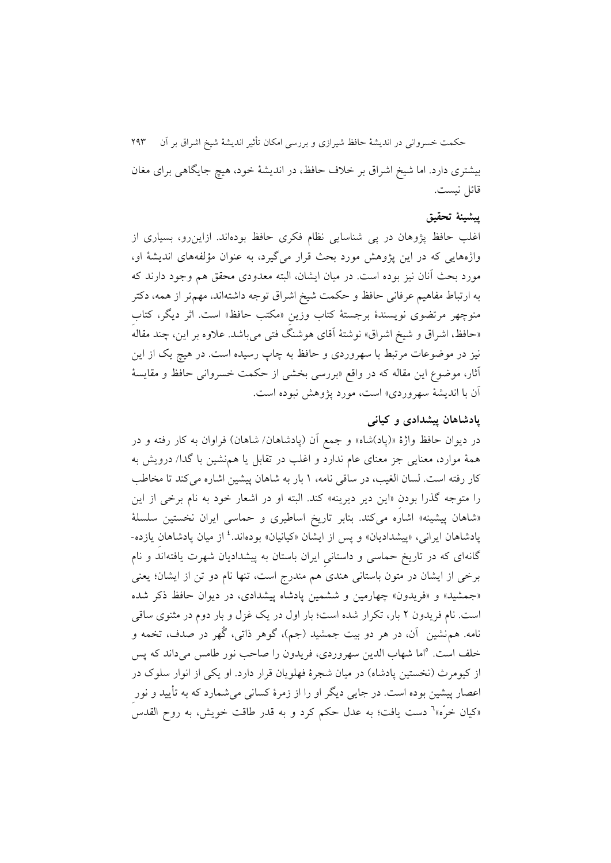حکمت خسروانی در انديشة حافظ شیرازی و بررسی امکان تأثیر انديشة شیخ اشراق بر آن 618 بیشتری دارد. اما شیخ اشراق بر خالف حافظ، در انديشة خود، هیچ جايگاهی برای مغان قائل نیست.

### **پیشینة تحقیق**

اغلب حافظ پژوهان در پی شناسايی نظام فکری حافظ بودهاند. ازاينرو، بسیاری از واژههايی که در اين پژوهش مورد بحث قرار میگیرد، به عنوان مؤلفههای انديشة او، مورد بحث آنان نیز بوده است. در میان ايشان، البته معدودی محقق هم وجود دارند که به ارتباط مفاهیم عرفانی حافظ و حکمت شیخ اشراق توجه داشتهاند، مهمتر از همه، دکتر منوچهر مرتضوی نويسندة برجستة کتاب وزينِ »مکتب حافظ« است. اثر ديگر، کتابِ «حافظ، اشراق و شیخ اشراق» نوشتهٔ آقای هوشنگ فتی میباشد. علاوه بر این، چند مقاله<sup>ً</sup> نیز در موضوعات مرتبط با سهروردی و حافظ به چاپ رسیده است. در هیچ يس از اين آثار، موضوع اين مقاله که در واقع »بررسی بخشی از حکمت خسروانی حافظ و مقايسة آن با انديشهٔ سهروردي» است، مورد پژوهش نبوده است.

### **پادشاهان پیشدادی و کیانی**

در ديوان حافظ واژهٔ «(پاد)شاه» و جمع آن (پادشاهان/ شاهان) فراوان به کار رفته و در همة موارد، معنايی جز معنای عام ندارد و اغلب در تقابل يا همنشین با گدا/ درويش به کار رفته است. لسان الغیب، در ساقی نامه، ۱ بار به شاهان پیشین اشاره میکند تا مخاطب را متوجه گذرا بودنِ »اين دير ديرينه« کند. البته او در اشعار خود به نام برخی از اين »شاهان پیشینه« اشاره میکند. بنابر تاريخ اساطیری و حماسی ايران نخستین سلسلة پادشاهان ایرانی، «پیشدادیان» و پس از ایشان «کیانیان» بودهاند.<sup>٤</sup> از میان پادشاهانِ یازده-گانهای که در تاريخ حماسی و داستانیِ ايران باستان به پیشداديان شهرت يافتهاند و نام برخی از ايشان در متون باستانی هندی هم مندرج است، تنها نام دو تن از ايشان؛ يعنی «جمشید» و «فريدون» چهارمين و ششمين پادشاه پیشدادی، در ديوان حافظ ذکر شده است. نام فريدون 6 بار، تکرار شده است؛ بار اول در يس غزل و بار دوم در مثنوی ساقی نامه. همنشین آن، در هر دو بیت جمشید (جم)، گوهر ذاتی، گُهر در صدف، تخمه و خلف است. <sup>ه</sup>اما شهاب الدين سهروردی، فريدون را صاحب نور طامس میداند که پس از کیومرث (نخستین پادشاه) در میان شجرهٔ فهلویان قرار دارد. او یکی از انوار سلوک در اعصار پیشین بوده است. در جایی دیگر او را از زمرهٔ کسانی میشمارد که به تأیید و نور »کیان خرّه« 2 دست يافت؛ به عدل حکم کرد و به قدر طاقت خويش، به روح القدس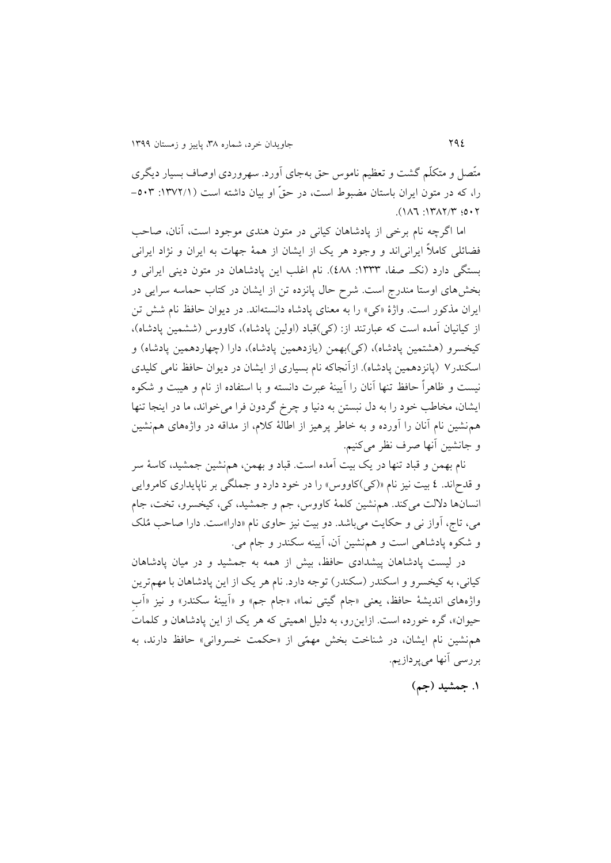متّصل و متکلّم گشت و تعظیم ناموس حق بهجای آورد. سهروردی اوصاف بسیار ديگری را، که در متون ايران باستان مضبوط است، در حقّ او بیان داشته است ):9826/9 -738  $(117.7)$ :  $9.7$ 

اما اگرچه نام برخی از پادشاهان کیانی در متون هندی موجود است، آنان، صاحب فضائلی کامالً ايرانیاند و وجود هر يس از ايشان از همة جهات به ايران و نژاد ايرانی بستگی دارد (نک صفا، ١٣٣٣: ٤٨٨). نام اغلب اين پادشاهان در متون دينی ايرانی و بخشهای اوستا مندرج است. شرح حال پانزده تن از ايشان در کتاب حماسه سرايی در ايران مذکور است. واژة »کی« را به معنای پادشاه دانستهاند. در ديوان حافظ نام شش تن از کیانیان آمده است که عبارتند از: (کی)قباد (اولین پادشاه)، کاووس (ششمین پادشاه)، کیخسرو (هشتمین پادشاه)، (کی)بهمن (یازدهمین پادشاه)، دارا (چهاردهمین پادشاه) و اسکندر۷ (پانزدهمین پادشاه). ازآنجاکه نام بسیاری از ایشان در دیوان حافظ نامی کلیدی نیست و ظاهراً حافظ تنها آنان را آيینة عبرت دانسته و با استفاده از نام و هیبت و شکوه ايشان، مخاطب خود را به دل نبستن به دنیا و چرخ گردون فرا میخواند، ما در اينجا تنها همنشین نام آنان را آورده و به خاطر پرهیز از اطالة کالم، از مداقه در واژههای همنشین و جانشین آنها صرف نظر میکنیم.

نام بهمن و قباد تنها در یک بیت آمده است. قباد و بهمن، همنشین جمشید، کاسهٔ سر و قدحاند. ٤ بیت نیز نام «(کی)کاووس» را در خود دارد و جملگی بر ناپایداری کامروایی انسانها داللت میکند. همنشین کلمة کاووس، جم و جمشید، کی، کیخسرو، تخت، جام می، تاج، آواز نی و حکايت میباشد. دو بيت نيز حاوی نام «دارا»ست. دارا صاحب مُلک و شکوه پادشاهی است و همنشین آن، آيینه سکندر و جام می.

در لیست پادشاهان پیشدادی حافظ، بیش از همه به جمشید و در میان پادشاهان کیانی، به کیخسرو و اسکندر (سکندر) توجه دارد. نام هر يک از اين پادشاهان با مهمترين واژههای انديشهٔ حافظ، يعنی «جام گیتی نما»، «جام جم» و «آيينهٔ سکندر» و نيز «آب حیوان»، گره خورده است. ازاينرو، به دلیل اهمیتی که هر یک از اين پادشاهان و کلمات همنشین نام ايشان، در شناخت بخش مهمّی از »حکمت خسروانی« حافظ دارند، به بررسی آنها میپردازيم.

**.9 جمشید )جم(**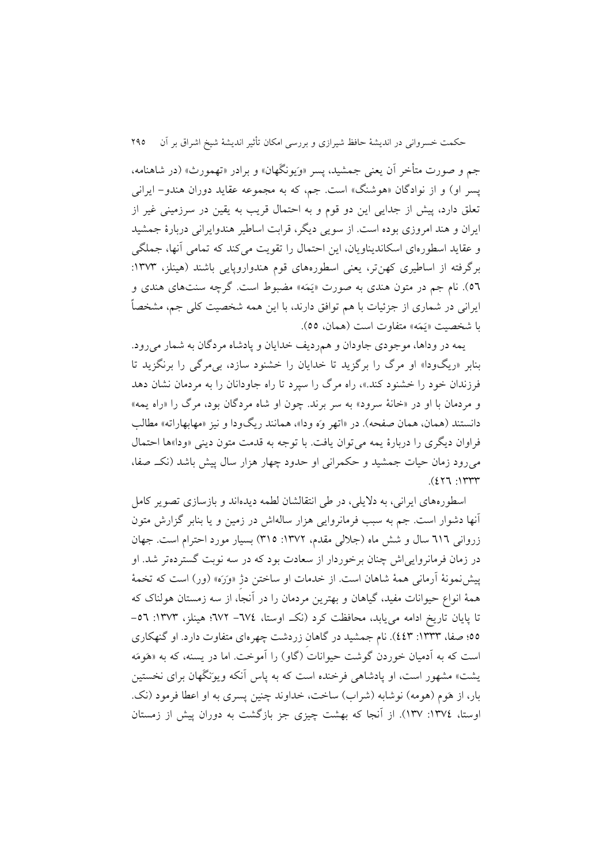جم و صورت متأخر آن يعنی جمشید، پسر »وَيونگَهان« و برادر »تهمورث« )در شاهنامه، پسر او( و از نوادگان »هوشنگ« است. جم، که به مجموعه عقايد دوران هندو- ايرانی تعلق دارد، پیش از جدايی اين دو قوم و به احتمال قريب به يقین در سرزمینی غیر از ايران و هند امروزی بوده است. از سويی ديگر، قرابت اساطیر هندوايرانی دربارة جمشید و عقايد اسطورهای اسکانديناويان، اين احتمال را تقويت میکند که تمامی آنها، جملگی برگرفته از اساطیری کهنتر، یعنی اسطورههای قوم هندواروپایی باشند (هینلز، ۱۳۷۳: 72(. نام جم در متون هندی به صورت »يَمَه« مضبوط است. گرچه سنتهای هندی و ايرانی در شماری از جزئیات با هم توافق دارند، با اين همه شخصیت کلی جم، مشخصاً با شخصیت «يَمَه» متفاوت است (همان، ٥٥).

يمه در وداها، موجودی جاودان و همرديف خدايان و پادشاه مردگان به شمار میرود. بنابر «ريگودا» او مرگ را برگزيد تا خدايان را خشنود سازد، بی مرگی را برنگزيد تا فرزندان خود را خشنود کند.«، راه مرگ را سپرد تا راه جاودانان را به مردمان نشان دهد و مردمان با او در »خانة سرود« به سر برند. چون او شاه مردگان بود، مرگ را »راه يمه« دانستند (همان، همان صفحه). در «اتهر وَه ودا»، همانند ريگودا و نيز «مهابهاراته» مطالب فراوان ديگری را دربارهٔ يمه می توان يافت. با توجه به قدمت متون دينی «ودا»ها احتمال میرود زمان حیات جمشید و حکمرانی او حدود چهار هزار سال پیش باشد )نکن. صفا،  $. (277.177)$ 

اسطورههای ايرانی، به داليلی، در طی انتقالشان لطمه ديدهاند و بازسازی تصوير کامل آنها دشوار است. جم به سبب فرمانروايی هزار سالهاش در زمین و يا بنابر گزارش متون زروانی ٦١٦ سال و شش ماه (جلالی مقدم، ١٣٧٢: ٣١٥) بسیار مورد احترام است. جهان در زمان فرمانروايیاش چنان برخوردار از سعادت بود که در سه نوبت گستردهتر شد. او پیشنمونة آرمانی همة شاهان است. از خدمات او ساختن دژِ »وَرَه« )ور( است که تخمة همة انواع حیوانات مفید، گیاهان و بهترين مردمان را در آنجا، از سه زمستان هولناک که تا پايان تاريخ ادامه می يابد، محافظت کرد (نک اوستا، ٦٧٤- ٦٧٢؛ هینلز، ١٣٧٣: ٥٦-77؛ صفا، :9888 448(. نام جمشید در گاهانِ زردشت چهرهای متفاوت دارد. او گنهکاری است که به آدمیان خوردن گوشت حیوانات (گاو) را آموخت. اما در پسنه، که به «هَومَه يشت« مشهور است، او پادشاهی فرخنده است که به پاس آنکه ويوَنگَهان برای نخستین بار، از هَوم (هومه) نوشابه (شراب) ساخت، خداوند چنین پسری به او اعطا فرمود (نک. اوستا، :9824 982(. از آنجا که بهشت چیزی جز بازگشت به دوران پیش از زمستان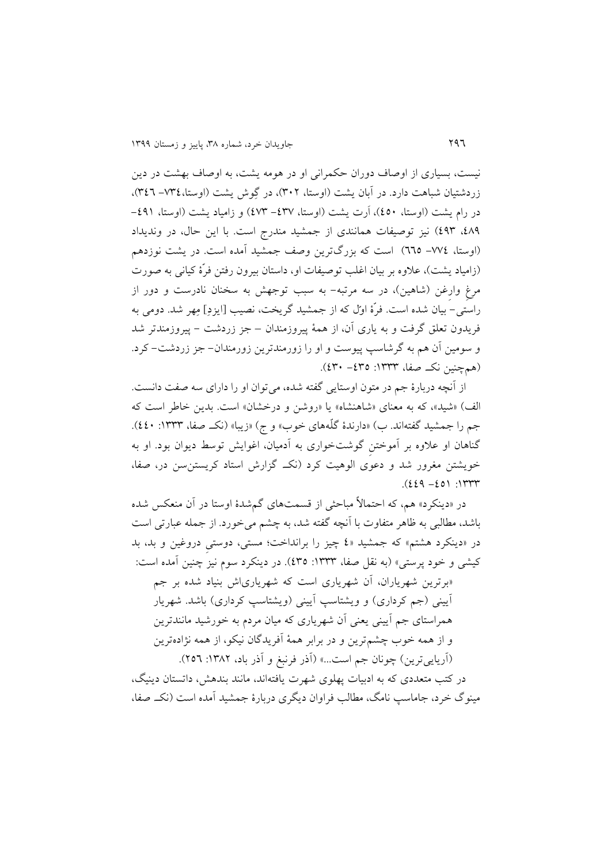نیست، بسیاری از اوصاف دوران حکمرانی او در هومه يشت، به اوصاف بهشت در دين زردشتيان شباهت دارد. در آبان يشت (اوستا، ٣٠٢)، در گِوش يشت (اوستا،٣٤٤- ٣٤٦)، در رام يشت (اوستا، ٤٥٠)، اَرت يشت (اوستا، ٤٣٧- ٤٧٣) و زامياد يشت (اوستا، ٤٩١-،481 418( نیز توصیفات همانندی از جمشید مندرج است. با اين حال، در ونديداد (اوستا، ٧٧٤– ٦٦٥) است که بزرگترين وصف جمشيد آمده است. در يشت نوزدهم )زامیاد يشت(، عالوه بر بیان اغلب توصیفات او، داستان بیرون رفتن فرّة کیانی به صورت مرغِ وارغن (شاهین)، در سه مرتبه- به سبب توجهش به سخنان نادرست و دور از راستی- بیان شده است. فرّة اوّل که از جمشید گريخت، نصیب ]ايزدِ[ مِهر شد. دومی به فريدون تعلق گرفت و به ياری آن، از همة پیروزمندان – جز زردشت - پیروزمندتر شد و سومین آن هم به گرشاسپ پیوست و او را زورمندترين زورمندان- جز زردشت- کرد. )همچنین نکن. صفا، :9888 -487 483(.

از آنچه دربارة جم در متون اوستايی گفته شده، میتوان او را دارای سه صفت دانست. الف) «شید»، که به معنای «شاهنشاه» يا «روشن و درخشان» است. بدين خاطر است که جم را جمشید گفتهاند. ب) «دارندهٔ گلّههای خوب» و ج) «زیبا» (نک صفا، ۱۳۳۳: ٤٤٠). گناهان او عالوه بر آموختنِ گوشتخواری به آدمیان، اغوايش توسط ديوان بود. او به خويشتن مغرور شد و دعوی الوهیت کرد )نکن. گزارش استاد کريستنسن در، صفا،  $(229 - 20)$ : 1397

در »دينکرد« هم، که احتماالً مباحثی از قسمتهای گمشدة اوستا در آن منعکس شده باشد، مطالبی به ظاهر متفاوت با آنچه گفته شد، به چشم میخورد. از جمله عبارتی است در »دينکرد هشتم« که جمشید »4 چیز را برانداخت؛ مستی، دوستیِ دروغین و بد، بد کیشی و خود پرستی» (به نقل صفا، ۱۳۳۳: ٤٣٥). در دینکرد سوم نیز چنین آمده است: »برترين شهرياران، آن شهرياری است که شهرياریاش بنیاد شده بر جم آيينی (جم کرداری) و ويشتاسپ آيينی (ويشتاسپ کرداری) باشد. شهريار

همراستای جم آيینی يعنی آن شهرياری که میان مردم به خورشید مانندترين و از همه خوب چشمترين و در برابر همة آفريدگان نیکو، از همه نژادهترين (آريايي ترين) چونان جم است...» (آذر فرنبغ و آذر باد، ١٣٨٢: ٢٥٦). در کتب متعددی که به ادبیات پهلوی شهرت يافتهاند، مانند بندهش، داتستان دينیگ،

مینوگ خرد، جاماسپ نامگ، مطالب فراوان ديگری دربارة جمشید آمده است )نکن. صفا،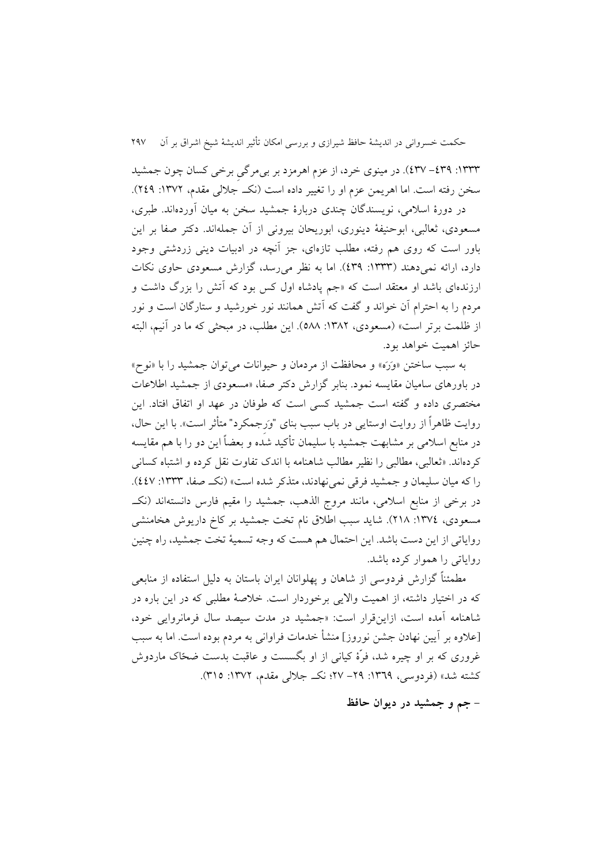:9888 -481 482(. در مینوی خرد، از عزم اهرمزد بر بیمرگیِ برخی کسان چون جمشید سخن رفته است. اما اهريمن عزم او را تغيير داده است (نک جلالی مقدم، ١٣٧٢: ٢٤٩). در دورة اسالمی، نويسندگان چندی دربارة جمشید سخن به میان آوردهاند. طبری، مسعودی، ثعالبی، ابوحنیفة دينوری، ابوريحان بیرونی از آن جملهاند. دکتر صفا بر اين باور است که روی هم رفته، مطلب تازهای، جز آنچه در ادبیات دينی زردشتی وجود دارد، ارائه نمی دهند (۱۳۳۳: ٤٣٩). اما به نظر می رسد، گزارش مسعودی حاوی نکات ارزندهای باشد او معتقد است که »جم پادشاه اول کس بود که آتش را بزرگ داشت و مردم را به احترام آن خواند و گفت که آتش همانند نور خورشید و ستارگان است و نور از ظلمت برتر است» (مسعودی، ١٣٨٢: ٥٨٨). اين مطلب، در مبحثی که ما در آنيم، البته حائز اهمیت خواهد بود.

به سبب ساختن »وَرَه« و محافظت از مردمان و حیوانات میتوان جمشید را با »نوح« در باورهای سامیان مقايسه نمود. بنابر گزارش دکتر صفا، »مسعودی از جمشید اطالعات مختصری داده و گفته است جمشید کسی است که طوفان در عهد او اتفاق افتاد. اين روايت ظاهراً از روايت اوستايي در باب سبب بناي "وَرِجمكرد" متأثر است». با اين حال، در منابع اسالمی بر مشابهت جمشید با سلیمان تأکید شده و بعضاً اين دو را با هم مقايسه کردهاند. »ثعالبی، مطالبی را نظیر مطالب شاهنامه با اندک تفاوت نقل کرده و اشتباه کسانی را که میان سلیمان و جمشید فرقی نمی نهادند، متذکر شده است» (نک صفا، ١٣٣٣: ٤٤٧). در برخی از منابع اسالمی، مانند مروج الذهب، جمشید را مقیم فارس دانستهاند )نکن. مسعودی، ١٣٧٤: ٢١٨). شايد سبب اطلاق نام تخت جمشيد بر كاخ داريوش هخامنشی رواياتی از اين دست باشد. اين احتمال هم هست که وجه تسمیة تخت جمشید، راه چنین رواياتی را هموار کرده باشد.

مطمئناً گزارش فردوسی از شاهان و پهلوانان ایران باستان به دلیل استفاده از منابعی که در اختیار داشته، از اهمیت وااليی برخوردار است. خالصة مطلبی که در اين باره در شاهنامه آمده است، ازاينقرار است: »جمشید در مدت سیصد سال فرمانروايی خود، ]عالوه بر آيین نهادن جشن نوروز[ منشأ خدمات فراوانی به مردم بوده است. اما به سبب غروری که بر او چیره شد، فرّة کیانی از او بگسست و عاقبت بدست ضحّاک ماردوش کشته شد» (فردوسی، ١٣٦٩: ٢٩– ٢٧؛ نک جلالی مقدم، ١٣٧٢: ٣١٥).

**- جم و جمشید در دیوان حافظ**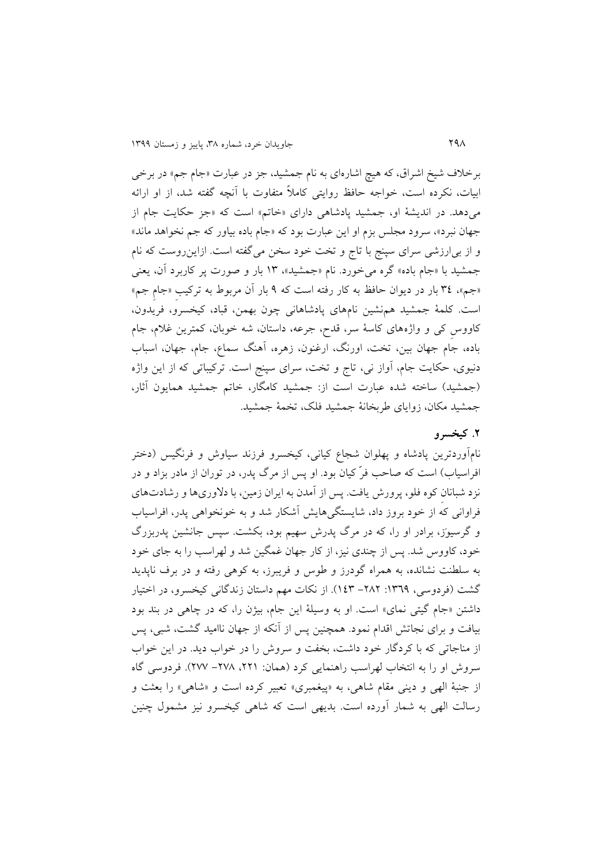برخالف شیخ اشراق، که هیچ اشارهای به نام جمشید، جز در عبارت »جام جم« در برخی ابیات، نکرده است، خواجه حافظ روايتی کامالً متفاوت با آنچه گفته شد، از او ارائه میدهد. در انديشهٔ او، جمشيد پادشاهی دارای «خاتم» است که «جز حکايت جام از جهان نبرد«، سرود مجلس بزم او اين عبارت بود که »جام باده بیاور که جم نخواهد ماند« و از بیارزشی سرای سپنج با تاج و تخت خود سخن میگفته است. ازاينروست که نام جمشید با »جام باده« گره میخورد. نام »جمشید«، 98 بار و صورت پر کاربرد آن، يعنی »جم«، 84 بار در ديوان حافظ به کار رفته است که 1 بار آن مربوط به ترکیبِ »جامِ جم« است. کلمة جمشید همنشین نامهای پادشاهانی چون بهمن، قباد، کیخسرو، فريدون، کاووسِ کی و واژههای کاسة سر، قدح، جرعه، داستان، شه خوبان، کمترين غالم، جام باده، جام جهان بین، تخت، اورنگ، ارغنون، زهره، آهنگ سماع، جام، جهان، اسباب دنیوی، حکايت جام، آواز نی، تاج و تخت، سرای سپنج است. ترکیباتی که از اين واژه (جمشید) ساخته شده عبارت است از: جمشید کامگار، خاتم جمشید همایون آثار، جمشید مکان، زوايای طربخانة جمشید فلس، تخمة جمشید.

### **.5 کیخسرو**

نامآوردترين پادشاه و پهلوان شجاع کیانی، کیخسرو فرزند سیاوش و فرنگیس )دختر افراسیاب) است که صاحب فرّ کیان بود. او پس از مرگ پدر، در توران از مادر بزاد و در نزد شبانانِ کوه فلو، پرورش يافت. پس از آمدن به ايران زمین، با دالوریها و رشادتهای فراوانی که از خود بروز داد، شايستگیهايش آشکار شد و به خونخواهی پدر، افراسیاب و گرسیوَز، برادر او را، که در مرگ پدرش سهیم بود، بکشت. سپس جانشین پدربزرگ خود، کاووس شد. پس از چندی نیز، از کار جهان غمگین شد و لهراسب را به جای خود به سلطنت نشانده، به همراه گودرز و طوس و فريبرز، به کوهی رفته و در برف ناپديد گشت (فردوسی، ١٣٦٩: ٢٨٢- ١٤٣). از نکات مهم داستان زندگانی کیخسرو، در اختیار داشتن «جام گیتی نمای» است. او به وسیلهٔ این جام، بیژن را، که در چاهی در بند بود بیافت و برای نجاتش اقدام نمود. همچنین پس از آنکه از جهان ناامید گشت، شبی، پس از مناجاتی که با کردگار خود داشت، بخفت و سروش را در خواب ديد. در اين خواب سروش او را به انتخاب لهراسب راهنمایی کرد (همان: ۲۲۱، ۲۷۸- ۲۷۷). فردوسی گاه از جنبهٔ الهی و دینی مقام شاهی، به «پیغمبری» تعبیر کرده است و «شاهی» را بعثت و رسالت الهی به شمار آورده است. بديهی است که شاهی کیخسرو نیز مشمول چنین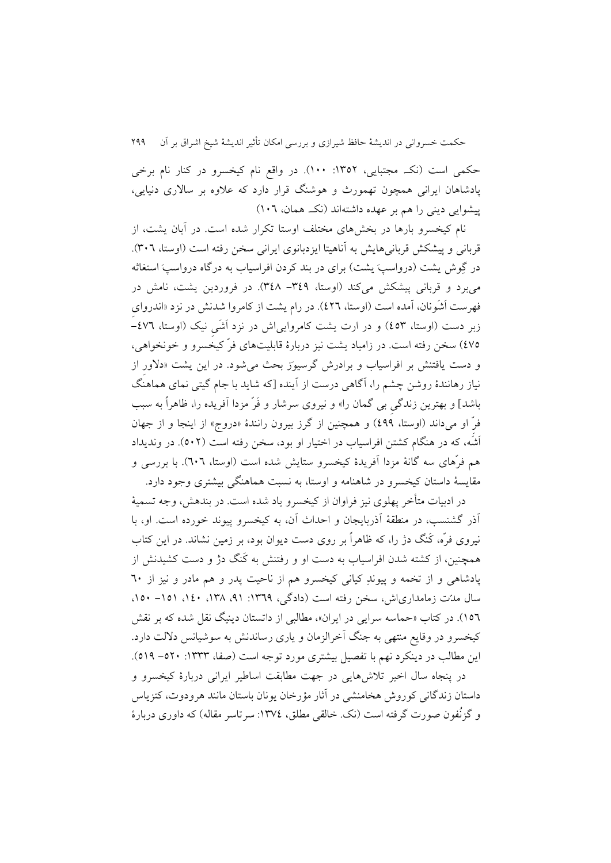حکمی است (نک مجتبایی، ۱۳۵۲: ۱۰۰). در واقع نام کیخسرو در کنار نام برخی پادشاهان ايرانی همچون تهمورث و هوشنگ قرار دارد که عالوه بر ساالری دنیايی، پیشوايی دينی را هم بر عهده داشتهاند (نک همان، ١٠٦)

نام کیخسرو بارها در بخشهای مختلف اوستا تکرار شده است. در آبان يشت، از قربانی و پیشکش قربانیهایش به آناهیتا ایزدبانوی ایرانی سخن رفته است (اوستا، ۳۰٦). در گِوش يشت (درواسپَ يشت) برای در بند کردن افراسیاب به درگاه درواسپَ استغاثه میبرد و قربانی پیشکش میکند )اوستا، -841 848(. در فروردين يشت، نامش در فهرست اَشَونان، آمده است )اوستا، 462(. در رام يشت از کامروا شدنش در نزد »اندروایِ زبر دست (اوستا، ٤٥٣) و در ارت يشت کامروايی اش در نزد اَشَی نیک (اوستا، ٤٧٦-427( سخن رفته است. در زامیاد يشت نیز دربارة قابلیتهای فرّ کیخسرو و خونخواهی، و دست يافتنش بر افراسیاب و برادرش گرسیوَز بحث میشود. در اين يشت »دالورِ از نیاز رهانندة روشن چشم را، آگاهی درست از آينده ]که شايد با جام گیتی نمای هماهنگ باشد[ و بهترين زندگیِ بی گمان را« و نیروی سرشار و فَرّ مزدا آفريده را، ظاهراً به سبب فرِّ او میداند (اوستا، ٤٩٩) و همچنین از گرز بیرون رانندهٔ «دروج» از اینجا و از جهان اَشَه، که در هنگام کشتن افراسیاب در اختیار او بود، سخن رفته است )736(. در ونديداد هم فرّهای سه گانهٔ مزدا آفریدهٔ کیخسرو ستایش شده است (اوستا، ٦٠٦). با بررسی و مقايسة داستان کیخسرو در شاهنامه و اوستا، به نسبت هماهنگی بیشتری وجود دارد.

در ادبیات متأخر پهلوی نیز فراوان از کیخسرو ياد شده است. در بندهش، وجه تسمیة آذر گشنسب، در منطقة آذربايجان و احداث آن، به کیخسرو پیوند خورده است. او، با نیروی فرّه، کَنگ دژ را، که ظاهراً بر روی دست ديوان بود، بر زمین نشاند. در اين کتاب همچنین، از کشته شدن افراسیاب به دست او و رفتنش به کَنگ دژ و دست کشیدنش از پادشاهی و از تخمه و پیوندِ کیانی کیخسرو هم از ناحیت پدر و هم مادر و نیز از 23 سال مدّت زمامداریاش، سخن رفته است (دادگی، ١٣٦٩: ٩١، ١٣٨، ١٤٠، ١٥١- ١٥٠. 972(. در کتاب »حماسه سرايی در ايران«، مطالبی از داتستان دينیگ نقل شده که بر نقش کیخسرو در وقايع منتهی به جنگ آخرالزمان و ياری رساندنش به سوشیانس داللت دارد. اين مطالب در دينکرد نهم با تفصيل بيشتري مورد توجه است (صفا، ١٣٣٣: ٥١٩ - ٥٢٩).

در پنجاه سال اخیر تالشهايی در جهت مطابقت اساطیر ايرانی دربارة کیخسرو و داستان زندگانی کوروش هخامنشی در آثار مؤرخان يونان باستان مانند هرودوت، کتزياس و گزنُفون صورت گرفته است (نک. خالقی مطلق، ١٣٧٤: سرتاسر مقاله) که داوری دربارهٔ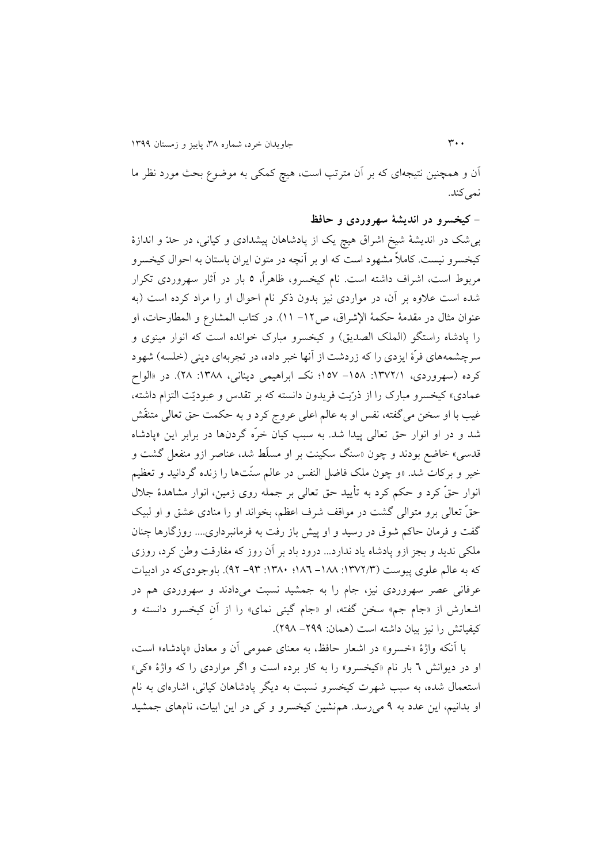آن و همچنین نتیجهای که بر آن مترتب است، هیچ کمکی به موضوع بحث مورد نظر ما نمیکند.

**- کیخسرو در اندیشة سهروردی و حافظ** بیشس در انديشة شیخ اشراق هیچ يس از پادشاهان پیشدادی و کیانی، در حدّ و اندازة کیخسرو نیست. کامالً مشهود است که او بر آنچه در متون ايران باستان به احوال کیخسرو مربوط است، اشراف داشته است. نام کیخسرو، ظاهرا،ً 7 بار در آثار سهروردی تکرار شده است عالوه بر آن، در مواردی نیز بدون ذکر نام احوال او را مراد کرده است )به عنوان مثال در مقدمة حکمهٔ الإشراق، ص١٢– ١١). در کتاب المشارع و المطارحات، او را پادشاه راستگو (الملک الصديق) و کیخسرو مبارک خوانده است که انوار مینوی و سرچشمههای فرّهٔ ايزدی را که زردشت از آنها خبر داده، در تجربهای دينی (خلسه) شهود کرده (سهروردی، ١٣٧٢/١: ١٥٨– ١٥٧؛ نک ابراهیمی دینانی، ١٣٨٨: ٢٨). در «الواح عمادی» کیخسرو مبارک را از ذرّيت فريدون دانسته که بر تقدس و عبوديّت التزام داشته، غیب با او سخن میگفته، نفس او به عالم اعلی عروج کرد و به حکمت حق تعالی متنقّش شد و در او انوار حق تعالی پیدا شد. به سبب کیان خرّه گردنها در برابر اين »پادشاه قدسی« خاضع بودند و چون »سنگ سکینت بر او مسلّط شد، عناصر ازو منفعل گشت و خیر و برکات شد. »و چون ملس فاضل النفس در عالم سنّتها را زنده گردانید و تعظیم انوار حقّ کرد و حکم کرد به تأيید حق تعالی بر جمله روی زمین، انوار مشاهدة جالل حقّ تعالی برو متوالی گشت در مواقف شرف اعظم، بخواند او را منادی عشق و او لبیس گفت و فرمان حاکم شوق در رسید و او پیش باز رفت به فرمانبرداری.... روزگارها چنان ملکی نديد و بجز ازو پادشاه ياد ندارد... درود باد بر آن روز که مفارقت وطن کرد، روزی که به عالم علوی پیوست (۱۳۷۲/۳: ۱۸۸– ۱۸۲؛ ۹۲– ۹۲). باوجودیکه در ادبیات عرفانی عصر سهروردی نیز، جام را به جمشید نسبت میدادند و سهروردی هم در اشعارش از «جام جم» سخن گفته، او «جام گیتی نمای» را از آن کیخسرو دانسته و کیفیاتش را نیز بیان داشته است (همان: ۲۹۹– ۲۹۸).

با آنکه واژة »خسرو« در اشعار حافظ، به معنای عمومی آن و معادل »پادشاه« است، او در ديوانش 2 بار نام »کیخسرو« را به کار برده است و اگر مواردی را که واژة »کی« استعمال شده، به سبب شهرت کیخسرو نسبت به ديگر پادشاهان کیانی، اشارهای به نام او بدانیم، اين عدد به 1 میرسد. همنشین کیخسرو و کی در اين ابیات، نامهای جمشید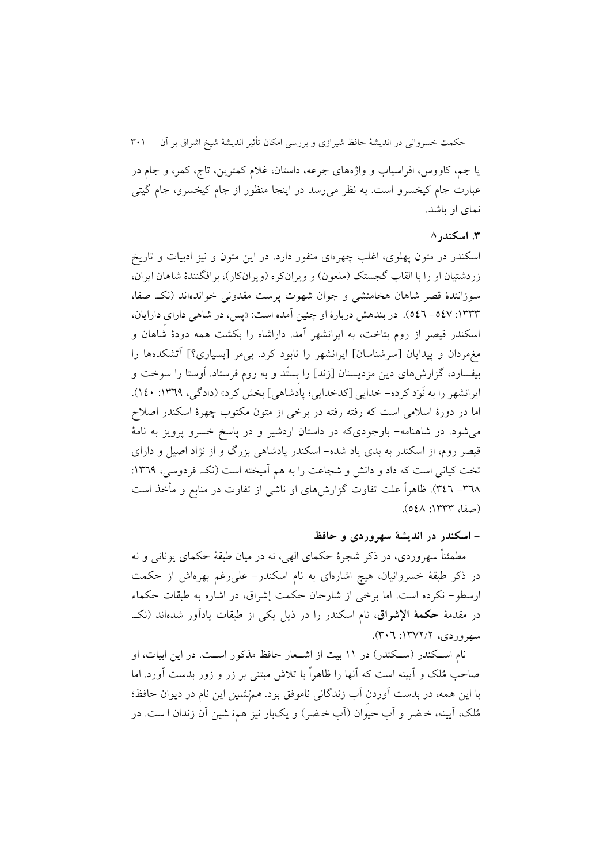يا جم، کاووس، افراسیاب و واژههای جرعه، داستان، غالم کمترين، تاج، کمر، و جام در عبارت جام کیخسرو است. به نظر میرسد در اينجا منظور از جام کیخسرو، جام گیتی نمای او باشد.

### **.8 اسکندر**<sup>8</sup>

اسکندر در متون پهلوی، اغلب چهرهای منفور دارد. در اين متون و نیز ادبیات و تاريخ زردشتيان او را با القاب گجستک (ملعون) و ويرانکره (ويرانکار)، برافگنندهٔ شاهان ايران، سوزانندة قصر شاهان هخامنشی و جوان شهوت پرست مقدونی خواندهاند )نکن. صفا، :9888 -742 742(. در بندهش دربارة او چنین آمده است: »پس، در شاهی دارایِ دارايان، اسکندر قیصر از روم بتاخت، به ايرانشهر آمد. داراشاه را بکشت همه دودة شاهان و مغمردان و پیدايان ]سرشناسان[ ايرانشهر را نابود کرد. بیمر ]بسیاری؟[ آتشکدهها را بیفسارد، گزارشهای دين مزديسنان ]زند[ را بِستَد و به روم فرستاد. اَوستا را سوخت و ايرانشهر را به نَوَد کرده- خدايي [کدخدايي؛ پادشاهي] بخش کرد» (دادگی، ١٣٦٩: ١٤٠). اما در دورة اسالمی است که رفته رفته در برخی از متون مکتوب چهرة اسکندر اصالح میشود. در شاهنامه- باوجودیکه در داستان اردشیر و در پاسخ خسرو پرويز به نامة قیصر روم، از اسکندر به بدی ياد شده- اسکندر پادشاهی بزرگ و از نژاد اصیل و دارای تخت کیانی است که داد و دانش و شجاعت را به هم آمیخته است (نک فردوسی، ١٣٦٩: -828 842(. ظاهراً علت تفاوت گزارشهای او ناشی از تفاوت در منابع و مأخذ است (صفا، ١٣٣٣: ٥٤٨).

### **- اسکندر در اندیشة سهروردی و حافظ**

مطمئناً سهروردی، در ذکر شجرهٔ حکمای الهی، نه در میان طبقهٔ حکمای یونانی و نه در ذکر طبقة خسروانیان، هیچ اشارهای به نام اسکندر- علیرغم بهرهاش از حکمت ارسطو- نکرده است. اما برخی از شارحان حکمت إشراق، در اشاره به طبقات حکماء در مقدمة **حکمة اإلشراق**، نام اسکندر را در ذيل يکی از طبقات يادآور شدهاند )نکن.  $(\Upsilon \cdot 7 \cdot 1 \Upsilon V)$  . (۳۰۲)

نام اســکندر (ســکندر) در ۱۱ بیت از اشــعار حافظ مذکور اســت. در اين ابيات، او صاحب مُلس و آيینه است که آنها را ظاهراً با تالش مبتنی بر زر و زور بدست آورد. اما با اين همه، در بدست آوردنِ آب زندگانی ناموفق بود. همنشین اين نام در ديوان حافظ؛ مُلس، آيینه، خ ضر و آب حیوان )آب خ ضر( و يس بار نیز همن شین آن زندان ا ست. در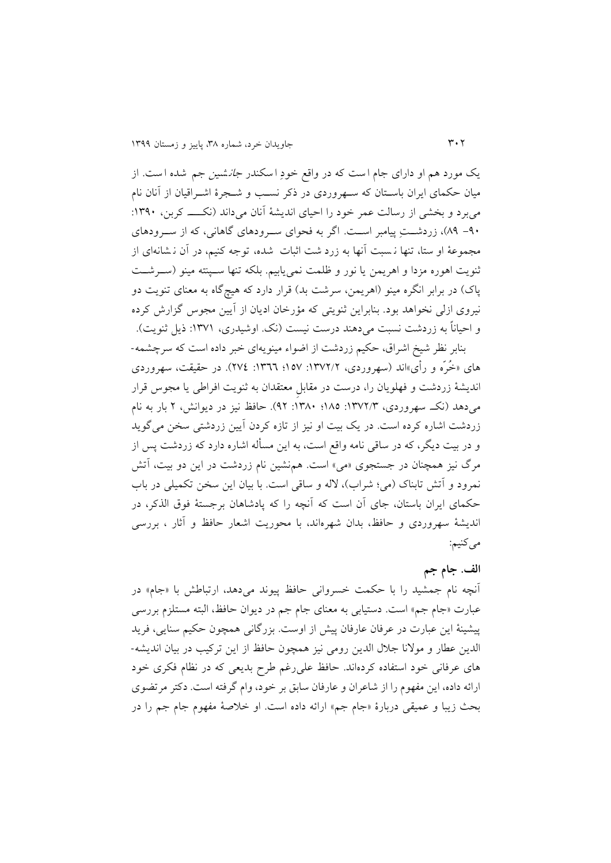يک مورد هم او دارای جام است که در واقع خودِ اسکندر *جان*شین جم شده است. از میان حکمای ايران باسنتان که سنهروردی در ذکر نسنب و شنجرة اشنراقیان از آنان نام میبرد و بخشی از رسالت عمر خود را احیای انديشة آنان میداند )نکنننن. کربن، :9813 -13 81(، زردشننتِ پیامبر اسننت. اگر به فحوای سننرودهای گاهانی، که از سننرودهای مجموعهٔ او ستا، تنها ن سبت آنها به زرد شت اثبات شده، توجه کنیم، در آن ن شانهای از ثنويت اهوره مزدا و اهريمن يا نور و ظلمت نمیيابیم. بلکه تنها سننپنته مینو )سننرشننت پاک) در برابر انگره مینو (اهريمن، سرشت بد) قرار دارد که هیچگاه به معنای تنويت دو نیروی ازلی نخواهد بود . بنابراين ثنويتی که مؤرخان اديان از آيین مجوس گزارش کرده و احیاناً به زردشت نسبت میدهند درست نیست (نک. اوشیدری، ۱۳۷۱: ذیل ثنویت).

بنابر نظر شیخ اشراق، حکیم زردشت از اضواء مینويهای خبر داده است که سرچشمه- های «خُرّه و رأی»اند (سهروردی، ۱۳۷۲/۲: ۱۵۷؛ ۱۳٦٦: ۲۷٤). در حقیقت، سهروردی انديشة زردشت و فهلويان را، درست در مقابلِ معتقدان به ثنويت افراطی يا مجوس قرار میدهد )نکن. سهروردی، :9826/8 987؛ :9883 16(. حافظ نیز در ديوانش، 6 بار به نام زردشت اشاره کرده است. در يک بيت او نيز از تازه کردن آيين زردشتی سخن میگويد و در بیت ديگر، که در ساقی نامه واقع است، به اين مسأله اشاره دارد که زردشت پس از مرگ نیز همچنان در جستجوی »می« است. همنشین نام زردشت در اين دو بیت، آتش نمرود و آتش تابناک (می؛ شراب)، لاله و ساقی است. با بیان این سخن تکمیلی در باب حکمای ايران باستان، جای آن است که آنچه را که پادشاهان برجستة فوق الذکر، در انديشة سهروردی و حافظ، بدان شهرهاند، با محوريت اشعار حافظ و آثار ، بررسی میکنیم:

**الف. جام جم**

آنچه نام جمشید را با حکمت خسروانی حافظ پیوند میدهد، ارتباطش با »جام« در عبارت «جام جم» است. دستیابی به معنای جام جم در دیوان حافظ، البته مستلزم بررسی پیشینة اين عبارت در عرفان عارفان پیش از اوست. بزرگانی همچون حکیم سنايی، فريد الدين عطار و موالنا جالل الدين رومی نیز همچون حافظ از اين ترکیب در بیان انديشه- های عرفانی خود استفاده کردهاند. حافظ علیرغم طرح بديعی که در نظام فکری خود ارائه داده، اين مفهوم را از شاعران و عارفان سابق بر خود، وام گرفته است. دکتر مرتضوی بحث زيبا و عمیقی دربارة »جام جم« ارائه داده است. او خالصة مفهوم جام جم را در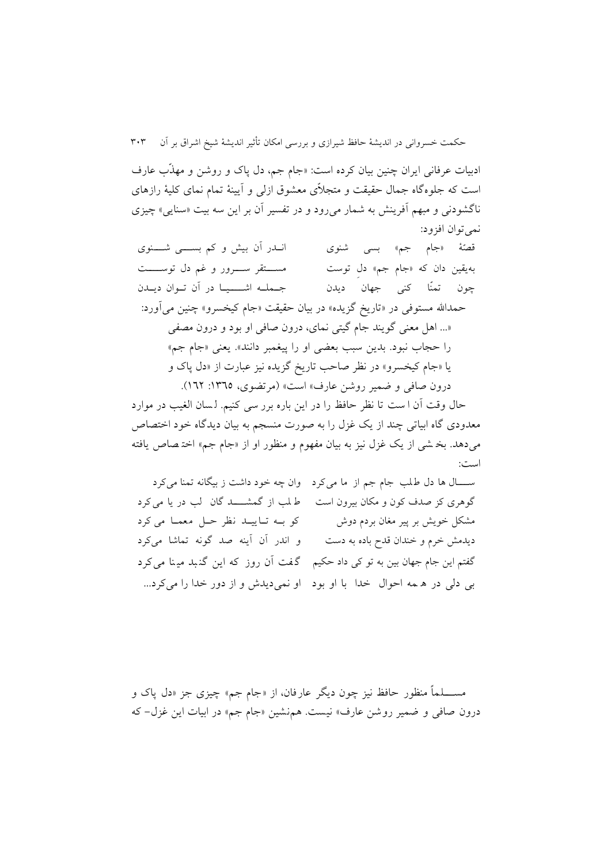ادبیات عرفانی ايران چنین بیان کرده است: »جام جم، دل پاک و روشن و مهذّب عارف است که جلوهگاه جمال حقیقت و متجالّی معشوق ازلی و آيینة تمام نمای کلیة رازهای ناگشودنی و مبهم آفرينش به شمار میرود و در تفسیر آن بر اين سه بیت »سنايی« چیزی نمی توان افزود:

قصّهٔ «جام جم» بسی شنوی انـــدر آن بیش و کم بســـــی شــــــنوی بهيقين دان که «جام جم» دل توست مســـــــتقر ســـــرور و غم دل توســـــت چون تمنّا کنی جهان ديدن جننملننه اشننننیننا در آن تننوان دينندن حمدالله مستوفی در «تاريخ گزيده» در بيان حقيقت «جام کيخسرو» چنين مي آورد: »... اهل معنی گويند جام گیتی نمای، درون صافی او بود و درون مصفی را حجاب نبود. بدين سبب بعضي او را پيغمبر دانند». يعني «جام جم» يا »جام کیخسرو« در نظر صاحب تاريخ گزيده نیز عبارت از »دل پاک و درون صافی و ضمیر روشن عارف» است» (مرتضوی، ١٣٦٥: ١٦٢).

حال وقت آن ا ست تا نظر حافظ را در اين باره برر سی کنیم. ل سان الغیب در موارد معدودی گاه ابیاتی چند از يک غزل را به صورت منسجم به بيان ديدگاه خود اختصاص میدهد. بخ شی از يس غزل نیز به بیان مفهوم و منظور او از »جام جم« اخت صاص يافته است:

سال ها دل طلب جام جم از ما می کرد وان چه خود داشت ز بیگانه تمنا می کرد گوهری کز صدف کون و مکان بیرون است ط لب از گمشنننند گان لب در يا می کرد مشکل خويش بر پیر مغان بردم دوش کو بنه تنايیند نظر حنل معمنا می کرد ديدمش خرم و خندان قدح باده به دست و اندر آن آينه صد گونه تماشا میکرد گفتم اين جام جهان بین به تو کی داد حکیم گ فت آن روز که اين گن بد می نا می کرد بی دلی در ه مه احوال خدا با او بود او نمیديدش و از دور خدا را میکرد...

مســـــــــلماً منظور حافظ نیز چون دیگر عارفان، از «جام جم» چیزی جز «دل پاک و درون صافی و ضمیر روشن عارف» نیست. هم نشین «جام جم» در ابیات این غزل- که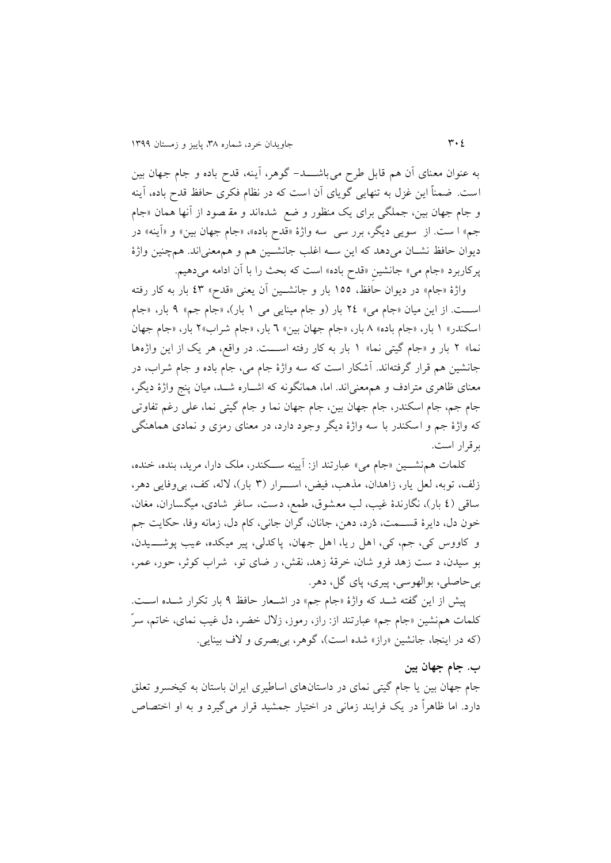به عنوان معنای آن هم قابل طرح می باشننند - گوهر، آينه، قدح باده و جام جهان بین است. ضمناً اين غزل به تنهايی گويای آن است که در نظام فکری حافظ قدح باده، آينه و جام جهان بین، جملگی برای یک منظور و ضع شدهاند و مق<sub>ا</sub>صود از آنها همان «جام جم» ا ست. از سویی دیگر، برر سی سه واژهٔ «قدح باده»، «جام جهان بین» و «آینه» در ديوان حافظ نشنان میدهد که اين سنه اغلب جانشنین هم و هممعنیاند. همچنین واژة پرکاربرد »جام می« جانشینِ »قدح باده« است که بحث را با آن ادامه میدهیم.

واژهٔ «جام» در ديوان حافظ، ١٥٥ بار و جانشـين آن يعنی «قدح» ٤٣ بار به کار رفته اسننت. از اين میان »جام می« 64 بار )و جام مینايی می 9 بار(، »جام جم« 1 بار، »جام اسکندر» ۱ بار، «جام باده» ۸ بار، «جام جهان بین» ٦ بار، «جام شراب»٢ بار، «جام جهان نما» ۲ بار و «جام گیتی نما» ۱ بار به کار رفته است. در واقع، هر یک از این واژهها جانشین هم قرار گرفته اند. آشکار است که سه واژة جام می، جام باده و جام شراب، در معنای ظاهری مترادف و هممعنیاند. اما، همانگونه که اشناره شند، میان پنج واژة ديگر، جام جم، جام اسکندر، جام جهان بین، جام جهان نما و جام گیتی نما، علی رغم تفاوتی که واژة جم و اسکندر با سه واژة ديگر وجود دارد، در معنای رمزی و نمادی هماهنگی برقرار است.

کلمات همنشننین »جام می« عبارتند از: آيینه سننکندر، ملس دارا، مريد، بنده، خنده، زلف، توبه، لعل يار، زاهدان، مذهب، فیض، اسـرار (٣ بار)، لاله، کف، بی وفايی دهر، ساقی ) 4 بار(، نگارندة غیب، لب معشوق، طمع، دست، ساغر شادی، میگساران، مغان، خون دل، دايرهٔ قســمت، دُرد، دهن، جانان، گران جاني، کام دل، زمانه وفا، حکايت جم و کاووس کی، جم، کی، اهل ريا، اهل جهان، پاکدلی، پیر میکده، عیب پوشنننیدن، بو سیدن، د ست زهد فرو شان، خرقة زهد، نقش، ر ضای تو، شراب کوثر، حور، عمر، بیحاصلی، بوالهوسی، پیری، پای گل، دهر.

پیش از اين گفته شند که واژة »جام جم« در اشنعار حافظ 1 بار تکرار شنده اسنت. کلمات همنشین »جام جم« عبارتند از: راز، رموز، زالل خضر، دل غیب نمای، خاتم، سرّ (که در اينجا، جانشين «راز» شده است)، گوهر، بی بصری و لاف بينايی.

### **ب. جام جهان بین**

جام جهان بین يا جام گیتی نمای در داستانهای اساطیری ايران باستان به کیخسرو تعلق دارد. اما ظاهراً در يک فرايند زمانی در اختيار جمشيد قرار میگیرد و به او اختصاص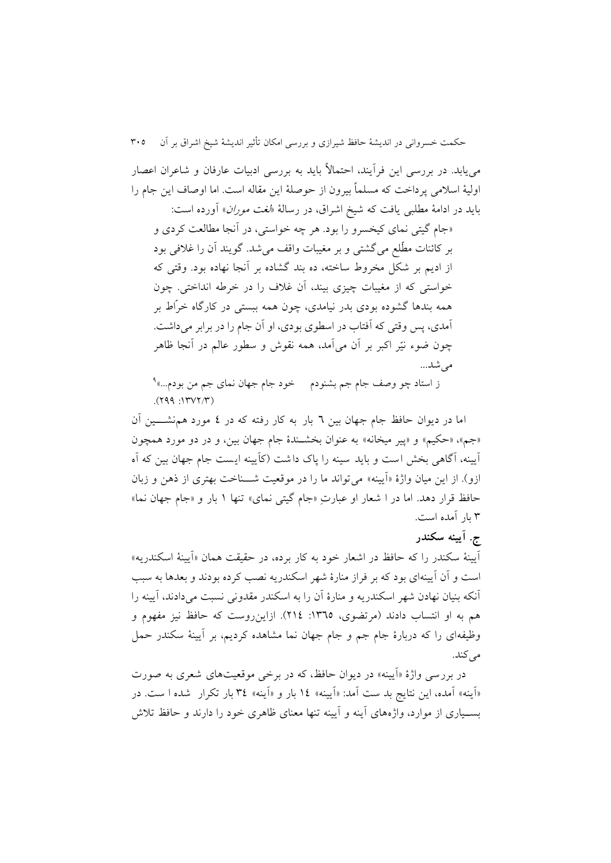میيابد. در بررسی اين فرآيند، احتماالً بايد به بررسی ادبیات عارفان و شاعران اعصار اولیة اسالمی پرداخت که مسلماً بیرون از حوصلة اين مقاله است. اما اوصاف اين جام را بايد در ادامهٔ مطلبي يافت که شيخ اشراق، در رسالهٔ «*لغت موران*» آورده است:

»جام گیتی نمای کیخسرو را بود. هر چه خواستی، در آنجا مطالعت کردی و بر کائنات مطّلع میگشتی و بر مغیبات واقف میشد. گويند آن را غالفی بود از اديم بر شکل مخروط ساخته، ده بند گشاده بر آنجا نهاده بود. وقتی که خواستی که از مغیبات چیزی بیند، آن غالف را در خرطه انداختی. چون همه بندها گشوده بودی بدر نیامدی، چون همه ببستی در کارگاه خرّاط بر آمدی، پس وقتی که آفتاب در اسطوی بودی، او آن جام را در برابر میداشت. چون ضوء نیّر اکبر بر آن میآمد، همه نقوش و سطور عالم در آنجا ظاهر مے شد...

<sup>1</sup> ز استاد چو وصف جام جم بشنودم خود جام جهان نمای جم من بودم...«  $(199.117V7/T)$ 

اما در ديوان حافظ جام جهان بین 2 بار به کار رفته که در 4 مورد همنشنننین آن «جم»، «حکیم» و «پیر میخانه» به عنوان بخشـندهٔ جام جهان بین، و در دو مورد همچون آيینه، آگاهی بخش است و بايد سینه را پاک داشت )کآيینه ايست جام جهان بین که آه ازو(. از اين میان واژة »آيینه« میتواند ما را در موقعیت شننناخت بهتری از ذهن و زبان حافظ قرار دهد. اما در ا شعار او عبارتِ «جام گیتی نمای» تنها ۱ بار و «جام جهان نما» 8 بار آمده است.

## **ج. آیینه سکندر**

آيینة سکندر را که حافظ در اشعار خود به کار برده، در حقیقت همان »آيینة اسکندريه« است و آن آيینهای بود که بر فراز منارة شهر اسکندريه نصب کرده بودند و بعدها به سبب آنکه بنیان نهادن شهر اسکندريه و منارة آن را به اسکندر مقدونی نسبت میدادند، آيینه را هم به او انتساب دادند (مرتضوی، ١٣٦٥: ٢١٤). ازاين روست که حافظ نيز مفهوم و وظیفهای را که دربارة جام جم و جام جهان نما مشاهده کرديم، بر آيینة سکندر حمل می کند.

در بررسی واژهٔ «آیینه» در دیوان حافظ، که در برخی موقعیتهای شعری به صورت »آينه« آمده، اين نتايج بد ست آمد: »آيینه« 94 بار و »آينه« 84 بار تکرار شده ا ست . در بسننیاری از موارد، واژههای آينه و آيینه تنها معنای ظاهری خود را دارند و حافظ تالش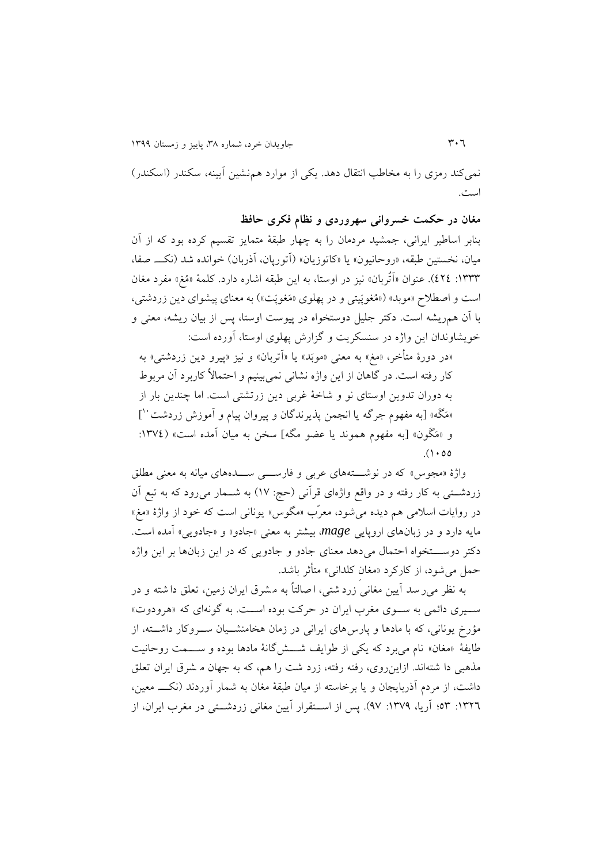نمیکند رمزی را به مخاطب انتقال دهد. يکی از موارد همنشين آيينه، سکندر (اسکندر) است.

**مغان در حکمت خسروانی سهروردی و نظام فکری حافظ** بنابر اساطیر ايرانی، جمشید مردمان را به چهار طبقة متمايز تقسیم کرده بود که از آن میان، نخستین طبقه، «روحانیون» یا «کاتوزیان» (آتورپان، آذربان) خوانده شد (نکــ صفا، :9888 464(. عنوان »آتُربان« نیز در اوستا، به اين طبقه اشاره دارد. کلمة »مُغ« مفرد مغان است و اصطلاح «موبد» («مُغوپَیتی و در پهلوی «مَغوپَت») به معنای پیشوای دین زردشتی، با آن همريشه است. دکتر جلیل دوستخواه در پیوست اوستا، پس از بیان ريشه، معنی و خويشاوندان اين واژه در سنسکريت و گزارش پهلوی اوستا، آورده است:

«در دورهٔ متأخر، «مغ» به معنی «موبَد» يا «اَتربان» و نیز «پیرو دين زردشتی» به کار رفته است. در گاهان از اين واژه نشانی نمیبینیم و احتماالً کاربرد آن مربوط به دوران تدوين اوستای نو و شاخة غربی دين زرتشتی است. اما چندين بار از «مَگَه» [به مفهوم جرگه يا انجمن پذيرندگان و پيروان پيام و اموزش زردشت<sup>۰۰</sup>] و «مَگَون» [به مفهوم هموند يا عضو مگه] سخن به ميان آمده است» (١٣٧٤:  $(1 \cdot 00)$ 

واژهٔ «مجوس» که در نوشتنههای عربی و فارس<sub>سی</sub> ســدههای میانه به معنی مطلق زردشننتی به کار رفته و در واقع واژهای قرآنی )حج: 92( به شننمار میرود که به تبع آن در روايات اسلامی هم ديده می شود، معرّب «مگوس» يونانی است که خود از واژهٔ «مغ» مايه دارد و در زبانهای اروپايی mage، بيشتر به معنی «جادو» و «جادويی» آمده است. دکتر دوستخواه احتمال می دهد معنای جادو و جادويی که در اين زبانها بر اين واژه حمل میشود، از کارکرد »مغانِ کلدانی« متأثر باشد.

به نظر میر سد آيین مغانی زرد شتی ، ا صالتاً به م شرق ايران زمین، تعلق دا شته و در ســيری دائمی به ســوی مغرب ايران در حرکت بوده اســت. به گونهای که «هرودوت» مؤرخ يونانی، که با مادها و پارسهای ايرانی در زمان هخامنشننیان سننروکار داشننته، از طايفهٔ «مغان» نام میبرد که يکی از طوايف شـــش&نانهٔ مادها بوده و ســـمت روحانيت مذهبی دا شتهاند. ازاينروی، رفته رفته، زرد شت را هم، که به جهان م شرق ايران تعلق داشت، از مردم آذربایجان و یا برخاسته از میان طبقهٔ مغان به شمار آوردند (نکـــ معین، :9862 78؛ آريا، :9821 12(. پس از اسننتقرار آيین مغانی زردشننتی در مغرب ايران، از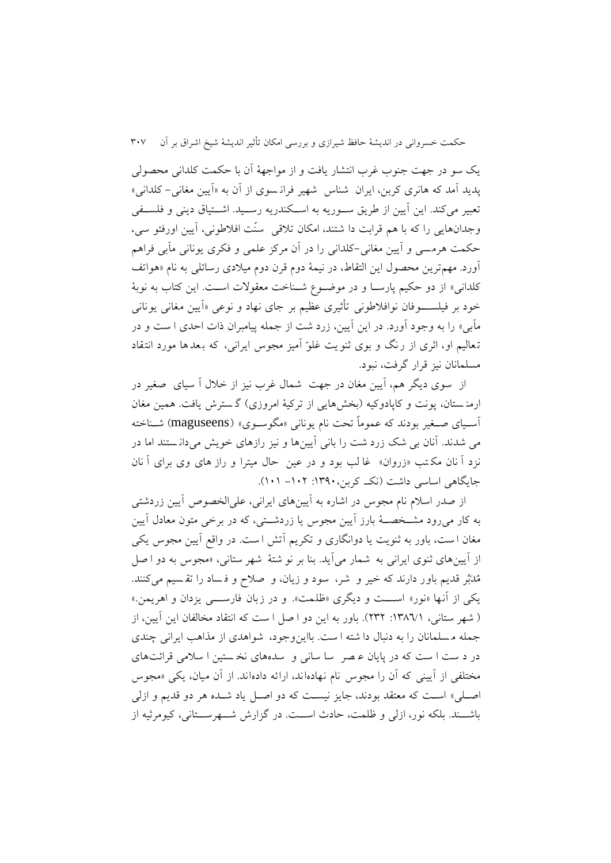يس سو در جهت جنوب غرب انتشار يافت و از مواجهة آن با حکمت کلدانی محصولی پديد آمد که هانری کربن، ايران شناس شهیر فران سوی از آن به »آيین مغانی- کلدانی« تعبیر میکند. اين آيين از طريق سورريه به اسكندريه رسـيد. اشـتياق دينی و فلسـفی وجدانهايی را که با هم قرابت دا شتند، امکان تلاقی سنّت افلاطونی، آيين اورفئو سی، حکمت هرمسی و آيین مغانی -کلدانی را در آن مرکز علمی و فکری يونانی مآبی فراهم آورد. مهمترين محصول اين التقاط، در نیمة دوم قرن دوم میالدی رسائلی به نام »هواتف کلدانی» از دو حکیم پارسـا و در موضـوع شـناخت معقولات اسـت. اين کتاب به نوبهٔ خود بر فیلســــوفان نوافلاطونی تأثیری عظیم بر جای نهاد و نوعی «آیین مغانی یونانی مآبی» را به وجود آورد. در اين آيين، زرد شت از جمله پيامبران ذات احدی ا ست و در تعالیم او، اثری از رنگ و بوی ثنویت غلوّ آمیز مجوس ایرانی، که بعدها مورد انتقاد مسلمانان نیز قرار گرفت، نبود.

از سوی ديگر هم، آيین مغان در جهت شمال غرب نیز از خالل آ سیای صغیر در ارمن ستان، پونت و کاپادوکیه (بخشهايی از ترکیهٔ امروزی) گسترش يافت. همین مغان آسنیای صنغیر بودند که عموماً تحت نام يونانی »مگوسنوی« )maguseens )شنناخته می شدند. آنان بی شس زرد شت را بانی آيین ها و نیز رازهای خويش میدان ستند اما در نزد آ نان مکتب «زروان» غا لب بود و در عین حال میترا و راز های وی برای آ نان جايگاهی اساسی داشت (نک کربن، ۱۳۹۰: ۱۰۲– ۱۰۱).

از صدر اسالم نام مجوس در اشاره به آيین های ايرانی، علیالخصوص آيین زردشتی به کار میرود مشننخصننة بارز آيین مجوس يا زردشننتی، که در برخی متون معادل آيین مغان ا ست، باور به ثنويت يا دوانگاری و تکريم آتش ا ست. در واقع آيین مجوس يکی از آيينهای ثنوی ايرانی به شمار می آيد. بنا بر نو شتهٔ شهر ستانی، «مجوس به دو ا صل مُدَبِّر قديم باور دارند که خیر و شر، سود و زيان، و صالح و ف ساد را تق سیم می کنند. يکی از آنها »نور« اسنننت و ديگری »ظلمت «. و در زبان فارسنننی يزدان و اهريمن. « ) شهر ستانی، :9882/9 686(. باور به اين دو ا صل ا ست که انتقاد مخالفان اين آيین، از جمله م سلمانان را به دنبال دا شته ا ست. بااي نوجود، شواهدی از مذاهب ايرانی چندی در د ست ا ست که در پايان ع صر سا سانی و سده های نخ ستین ا سالمی قرائت های مختلفی از آيينی که آن را مجوس نام نهادهاند، ارائه دادهاند. از آن ميان، يکی «مجوس اصنلی« اسنت که معتقد بودند، جايز نیسنت که دو اصنل ياد شنده هر دو قديم و ازلی باشننند. بلکه نور، ازلی و ظلمت، حادث اسننت. در گزارش شننهرسننتانی، کیومرثیه از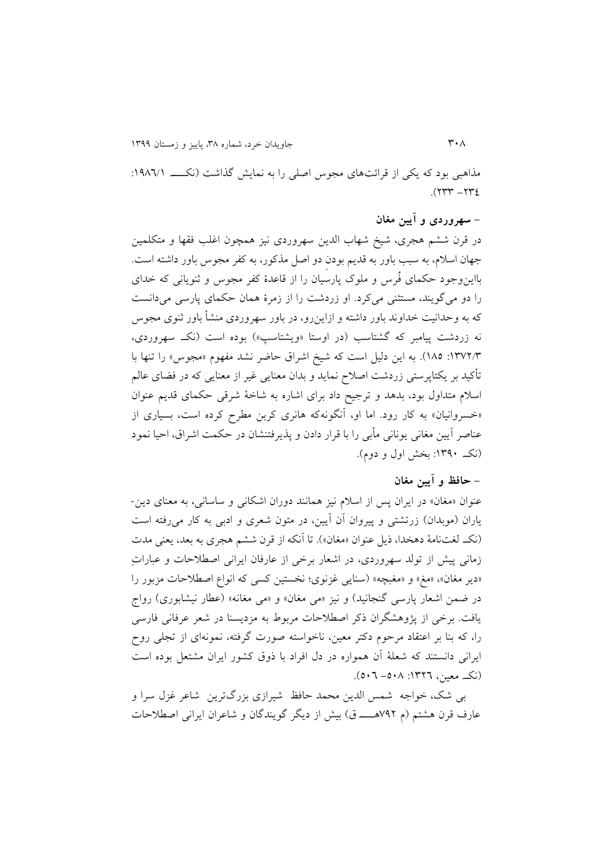مذاهبی بود که يکی از قرائتهای مجوس اصلی را به نمايش گذاشت (نکسه ۱۹۸٦/۱:  $377 - 777$ ).

# **- سهروردی و آیین مغان**

در قرن ششم هجری، شیخ شهاب الدين سهروردی نیز همچون اغلب فقها و متکلمین جهان اسالم، به سبب باور به قديم بودنِ دو اصل مذکور، به کفر مجوس باور داشته است. بااينوجود حکمای فُرس و ملوک پارسیان را از قاعدة کفر مجوس و ثنويانی که خدای را دو میگويند، مستثنی میکرد. او زردشت را از زمرة همان حکمای پارسی میدانست که به وحدانیت خداوند باور داشته و ازاينرو، در باور سهروردی منشأ باور ثنوی مجوس نه زردشت پیامبر که گشتاسب (در اوستا «ویشتاسپ») بوده است (نک سهروردی، :9826/8 987(. به اين دلیل است که شیخ اشراق حاضر نشد مفهوم »مجوس« را تنها با تأکید بر يکتاپرستی زردشت اصالح نمايد و بدان معنايی غیر از معنايی که در فضای عالم اسالم متداول بود، بدهد و ترجیح داد برای اشاره به شاخة شرقی حکمای قديم عنوان «خسروانیان» به کار رود. اما او، آنگونهکه هانری کربن مطرح کرده است، بسیاری از عناصر آيین مغانی يونانی مأبی را با قرار دادن و پذيرفتنشان در حکمت اشراق، احیا نمود )نکن. :9813 بخش اول و دوم(.

### **- حافظ و آیین مغان**

عنوان «مغان» در ايران پس از اسلام نيز همانند دوران اشکانی و ساسانی، به معنای دين-ياران (موبدان) زرتشتی و پیروان آن آيين، در متون شعری و ادبی به کار می رفته است )نکن. لغتنامة دهخدا، ذيل عنوان »مغان«(. تا آنکه از قرن ششم هجری به بعد، يعنی مدت زمانی پیش از تولد سهروردی، در اشعار برخی از عارفان ايرانی اصطالحات و عباراتِ «دير مغان»، «مغ» و «مغبچه» (سنايي غزنوي؛ نخستين كسي كه انواع اصطلاحات مزبور را در ضمن اشعار پارسی گنجانید) و نیز «می مغان» و «می مغانه» (عطار نیشابوری) رواج يافت. برخی از پژوهشگران ذکر اصطالحات مربوط به مزديسنا در شعر عرفانی فارسی را، که بنا بر اعتقاد مرحوم دکتر معین، ناخواسته صورت گرفته، نمونهای از تجلی روح ايرانی دانستند که شعلة آن همواره در دل افراد با ذوق کشور ايران مشتعل بوده است )نکن. معین، :9862 -738 732(.

بی شس، خواجه شمس الدين محمد حافظ شیرازی بزرگ ترين شاعر غزل سرا و عارف قرن هشتم (م ٧٩٢هــــــ ق) بيش از ديگر گويندگان و شاعران ايرانی اصطلاحات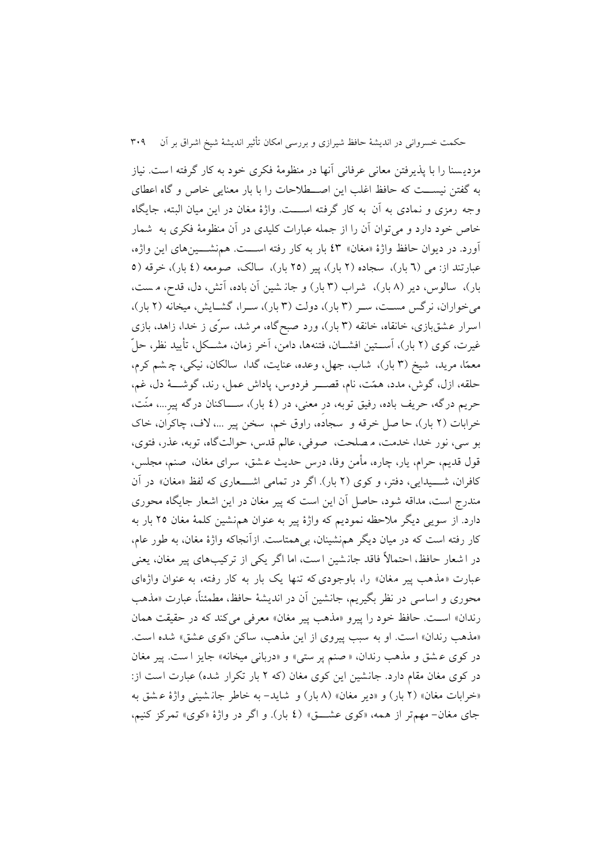مزدي سنا را با پذيرفتن معانی عرفانی آنها در منظومة فکری خود به کار گرفته ا ست. نیاز به گفتن نیسننت که حافظ اغلب اين اصننطالحات را با بار معنايی خاص و گاه اعطای وجه رمزی و نمادی به آن به کار گرفته اسنننت. واژة مغان در اين میان البته ، جايگاه خاص خود دارد و میتوان آن را از جمله عبارات کلیدی در آن منظومة فکری به شمار آورد. در ديوان حافظ واژة »مغان « 48 بار به کار رفته اسنننت. هم نشنننینهای اين واژه، عبارتند از: می (٦ بار)، سجاده (٢ بار)، پیر (٢٥ بار)، سالک، صومعه (٤ بار)، خرقه (٥ بار)، سالوس، دير (٨ بار)، شراب (٣ بار) و جان شين آن باده، آتش، دل، قدح، مست، میخواران، نرگس مست، سـر (۳ بار)، دولت (۳ بار)، سـرا، گشـايش، ميخانه (۲ بار)، اسرار عشق بازی، خانقاه، خانقه )8 بار(، ورد صبح گاه، مرشد، سرّی ز خدا، زاهد، بازی غیرت، کوی (۲ بار)، آســتین افشــان، فتنهها، دامن، آخر زمان، مشــکل، تأيید نظر، حلّ معمّا، مريد، شيخ (٣ بار)، شاب، جهل، وعده، عنايت، گدا، سالکان، نيکي، چـ شم کرم، حلقه، ازل، گوش، مدد، همّت، نام، قصننر فردوس، پاداش عمل، رند، گوشننة دل، غم، حريم درگه، حريف باده، رفيق توبه، در معنى، در (٤ بار)، ســــاکنان درگه پير…، منّت، خرابات )6 بار(، حا صل خرقه و سجاده، راوق خم، سخن پیر ،... الف، چاکران، خاک بو سی، نور خدا، خدمت، م صلحت، صوفی، عالم قدس، حوالتگاه، توبه، عذر، فتوی، قول قديم، حرام، يار، چاره، مأمن وفا، درس حديث ع شق، سرای مغان، صنم، مجلس، کافران، شسیدایی، دفتر، و کوی (۲ بار). اگر در تمامی اشـــعاری که لفظ «مغان» در آن مندرج است، مداقه شود، حاصل آن اين است که پیر مغان در اين اشعار جايگاه محوری دارد. از سويی ديگر مالحظه نموديم که واژة پیر به عنوان هم نشین کلمة مغان 67 بار به کار رفته است که در میان ديگر همنشینان، بیهمتاست. ازآنجاکه واژة مغان، به طور عام، در ا شعار حافظ، احتماالً فاقد جان شین ا ست، اما اگر يکی از ترکیب های پیر مغان، يعنی عبارت «مذهب پیر مغان» را، باوجودی که تنها یک بار به کار رفته، به عنوان واژهای محوری و اساسی در نظر بگیریم، جانشین آن در اندیشهٔ حافظ، مطمئناً، عبارت «مذهب رندان» است. حافظ خود را پیرو «مذهب پیر مغان» معرفی میکند که در حقیقت همان «مذهب رندان» است. او به سبب پیروی از این مذهب، ساکن «کوی عشق» شده است. در کوی ع شق و مذهب رندان، » صنم پر ستی « و »دربانی میخانه« جايز ا ست . پیر مغان در کوی مغان مقام دارد. جانشین این کوی مغان (که ۲ بار تکرار شده) عبارت است از: «خرابات مغان» (٢ بار) و «دير مغان» (٨ بار) و شايد- به خاطر جان شيني واژهٔ عشق به جای مغان - مهمتر از همه، »کوی عشنننق« )4 بار( . و اگر در واژة »کوی« تمرکز کنیم،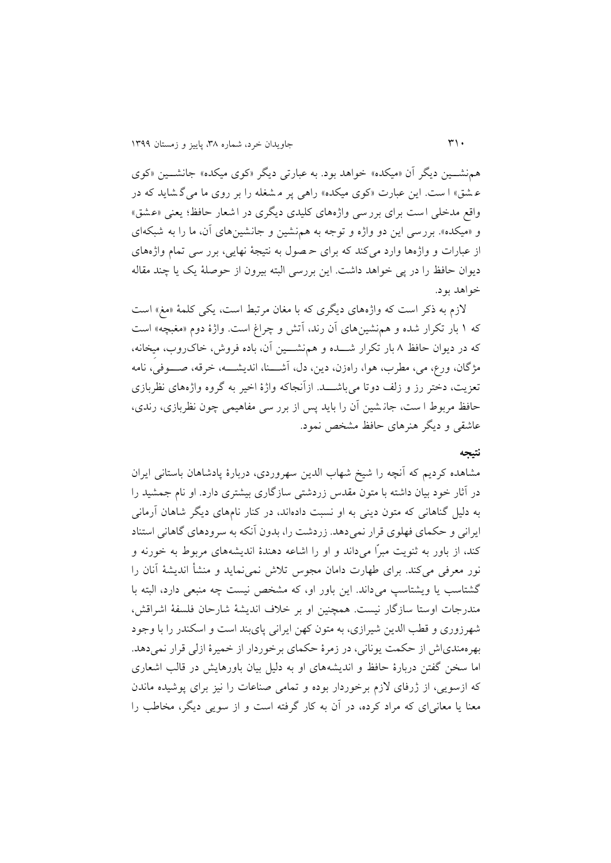همنشننین ديگر آن »میکده« خواهد بود. به عبارتی ديگر »کوی میکده« جانشننین »کوی ع شق» ا ست. اين عبارت «کوی ميکده» راهی پر م شغله را بر روی ما می گ شايد که در واقع مدخلی است برای بررسی واژه های کلیدی ديگری در اشعار حافظ ؛ يعنی »عشق « و «میکده». بررسی این دو واژه و توجه به هم نشین و جانشین های آن، ما را به شبکهای از عبارات و واژهها وارد میکند که برای ح صول به نتیجة نهايی ، برر سی تمام واژه های ديوان حافظ را در پی خواهد داشت. اين بررسی البته بیرون از حوصلة يس يا چند مقاله خواهد بود.

الزم به ذکر است که واژه های ديگری که با مغان مرتبط است، يکی کلمة »مغ« اس ت که 9 بار تکرار شده و همنشینهای آن رند، آتش و چراغ است. واژة دوم »مغبچه« است که در ديوان حافظ 8 بار تکرار شننده و همنشننین آن، باده فروش، خاکروب، میِخانه، مژگان، ورع، می، مطرب، هوا، راهزن، دين، دل، آشـــنا، انديشــــه، خرقه، صــــوفی، نامه تعزيت، دختر رز و زلف دوتا می باشننند. ازآنجاکه واژة اخیر به گروه واژه های نظربازی حافظ مربوط ا ست، جان شین آن را بايد پس از برر سی مفاهیمی چون نظربازی، رندی، عاشقی و ديگر هنرهای حافظ مشخص نمود.

#### **نتیجه**

مشاهده کرديم که آنچه را شیخ شهاب الدين سهروردی، دربارة پادشاهان باستانی ايران در آثار خود بیان داشته با متون مقدس زردشتی سازگاری بیشتری دارد. او نام جمشید را به دلیل گناهانی که متون دينی به او نسبت دادهاند، در کنار نامهای ديگر شاهان آرمانی ايرانی و حکمای فهلوی قرار نمیدهد. زردشت را، بدون آنکه به سرودهای گاهانی استناد کند، از باور به ثنويت مبرّا میداند و او را اشاعه دهندة انديشههای مربوط به خورنه و نور معرفی میکند. برای طهارت دامان مجوس تالش نمینمايد و منشأ انديشة آنان را گشتاسب يا ويشتاسپ میداند. اين باور او، که مشخص نیست چه منبعی دارد، البته با مندرجات اوستا سازگار نیست. همچنین او بر خالف انديشة شارحان فلسفة اشراقش، شهرزوری و قطب الدين شیرازی، به متون کهن ايرانی پایبند است و اسکندر را با وجود بهرهمندیاش از حکمت يونانی، در زمرة حکمای برخوردار از خمیرة ازلی قرار نمیدهد. اما سخن گفتن دربارة حافظ و انديشههای او به دلیل بیان باورهايش در قالب اشعاری که ازسويی، از ژرفای الزم برخوردار بوده و تمامی صناعات را نیز برای پوشیده ماندن معنا يا معانیای که مراد کرده، در آن به کار گرفته است و از سويی ديگر، مخاطب را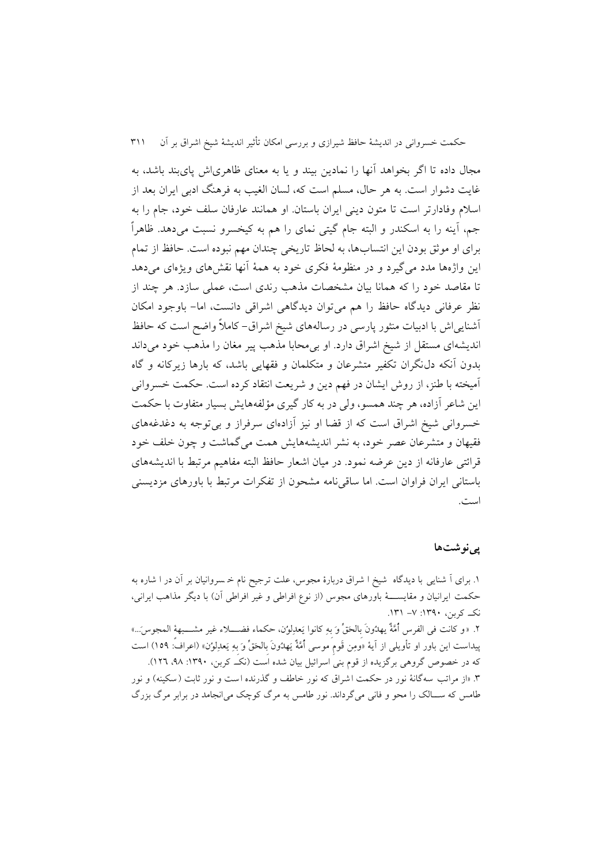مجال داده تا اگر بخواهد آنها را نمادين بیند و يا به معنای ظاهریاش پایبند باشد، به غايت دشوار است. به هر حال، مسلم است که، لسان الغیب به فرهنگ ادبی ايران بعد از اسالم وفادارتر است تا متون دينی ايران باستان. او همانند عارفان سلف خود، جام را به جم، آينه را به اسکندر و البته جام گیتی نمای را هم به کیخسرو نسبت میدهد. ظاهراً برای او موثق بودن اين انتسابها، به لحاظ تاريخی چندان مهم نبوده است. حافظ از تمام اين واژهها مدد میگیرد و در منظومة فکری خود به همة آنها نقشهای ويژهای میدهد تا مقاصد خود را که همانا بیان مشخصات مذهب رندی است، عملی سازد. هر چند از نظر عرفانی ديدگاه حافظ را هم میتوان ديدگاهی اشراقی دانست، اما- باوجود امکان آشنايیاش با ادبیات منثور پارسی در رسالههای شیخ اشراق- کامالً واضح است که حافظ انديشهای مستقل از شیخ اشراق دارد. او بیمحابا مذهب پیر مغان را مذهب خود میداند بدون آنکه دلنگران تکفیر متشرعان و متکلمان و فقهايی باشد، که بارها زيرکانه و گاه آمیخته با طنز، از روش ايشان در فهم دين و شريعت انتقاد کرده است. حکمت خسروانی اين شاعر آزاده، هر چند همسو، ولی در به کار گیری مؤلفههايش بسیار متفاوت با حکمت خسروانی شیخ اشراق است که از قضا او نیز آزادهای سرفراز و بیتوجه به دغدغههای فقیهان و متشرعان عصر خود، به نشر انديشههايش همت میگماشت و چون خلف خود قرائتی عارفانه از دين عرضه نمود. در میان اشعار حافظ البته مفاهیم مرتبط با انديشههای باستانی ايران فراوان است. اما ساقینامه مشحون از تفکرات مرتبط با باورهای مزديسنی است.

### **پینوشتها**

.9 برای آ شنايی با ديدگاه شیخ ا شراق دربارة مجوس، علت ترجیح نام خ سروانیان بر آن در ا شاره به حکمت ايرانيان و مقايســــهٔ باورهای مجوس (از نوع افراطی و غیر افراطی آن) با ديگر مذاهب ايرانی، نکن. کربن، :9813 -2 .989 ۲. «و کانت فی الفرس أُمَّةٌ يهدُونَ بِالحَقِّ وَ بِهِ کانوا يَعدِلوُن، حکماء فضــــلاء غیر مشــــبهة المجوس...» پیداست اين باور او تأويلی از آية »ومِن قَومِ موسی أُمَّةٌ يَهدُونَ بِالحَقِّ وَ بِهِ يَعدِلوُن « )اعراف: 971( است که در خصوص گروهی برگزيده از قوم بنی اسرائيل بيان شده است (نک کربن، ۱۳۹۰: ۹۸، ۱۲۹ .8 »از مراتب سه گانة نور در حکمت اشراق که نور خاطف و گذرنده است و نور ثابت )سکینه( و نور طامس که ســـالک را محو و فانی میگرداند. نور طامس به مرگ کوچک می انجامد در برابر مرگ بزرگ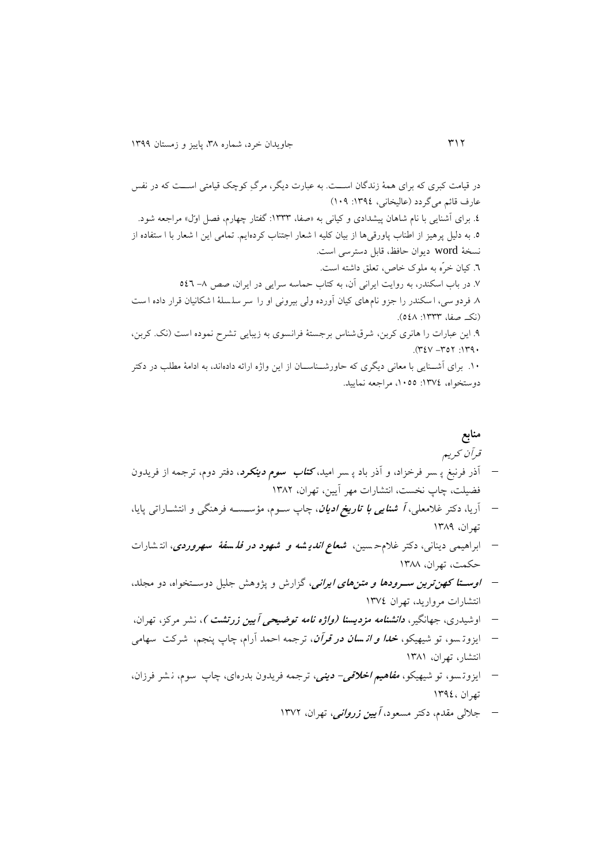در قیامت کبری که برای همة زندگان اسننت. به عبارت ديگر، مرگِ کوچس قیامتی اسننت که در نفس عارف قائم میگردد )عالیخانی، :9814 931( .4 برای آشنايی با نام شاهان پیشدادی و کیانی به »صفا، :9888 گفتار چهارم، فصل اوّل« مراجعه شود. .7 به دلیل پرهیز از اطناب پاورقیها از بیان کلیه ا شعار اجتناب کردهايم. تمامی اين ا شعار با ا ستفاده ا ز نسخة word ديوان حافظ، قابل دسترسی است. .2 کیان خرّه به ملوک خاص، تعلق داشته است. .2 در باب اسکندر، به روايت ايرانی آن، به کتاب حماسه سرايی در ايران، صص -8 742 .8 فردو سی، ا سکندر را جزو نام های کیان آورده ولی بیرونی او را سر سل سلة ا شکانیان قرار داده ا ست )نکن. صفا، :9888 748(. .1 اين عبارات را هانری کربن، شرق شناس برجستة فرانسوی به زيبايی تشرح نموده است ) نس. کربن، .)842 -876 :9813 .93 برای آشنننايی با معانی ديگری که حاورشننناسننان از اين واژه ارائه داده اند، به ادامة مطلب در دکتر دوستخواه، :9824 ،9377 مراجعه نمايید.

**منابع** قرآن کريم آذر فرنبغ پ سر فرخزاد، و آذر باد پ سر امید، **کتاب سوم دینکرد** ، دفتر دوم، ترجمه از فريدون فضیلت، چاپ نخست، انتشارات مهر آيین، تهران، 9886 آريا، دکتر غالمعلی، **<sup>آ</sup> شنایی با تاریخ ادیان** ، چاپ سنوم، مؤسنسنه فرهنگی و انتشناراتی پايا، تهران، 9881 ابراهیمی دينانی، دکتر غالمح سین، **شعاع اندی شه و شهود در فل سفة سهروردی** ، انت شارات حکمت، تهران، 9888

- **اوستتا که نترین سترودها و متن های ایرانی**، گزارش و پژوهش جلیل دوسننتخواه، دو مجلد، انتشارات مرواريد، تهران 9824
- اوشیدری ، جهانگیر، **دانشنامه مزدیسنا )واژه نامه توضیحی آیین زرتشت (** ، نشر مرکز، ت هران،
- ايزوت سو، تو شیهیکو، **خدا و ان سان در قرآن** ، ترجمه احمد آرام، چاپ پنجم، شرکت سهامی انتشار، تهران، 9889
- ايزوت سو، تو شیهیکو، **مفاهیم اخالقی- دینی**، ترجمه فريدون بدرهای، چاپ سوم، ن شر فرزان، تهران 9814،
	- جاللی مقدم، دکتر مسعود، **آیین زروانی**، تهران، 9826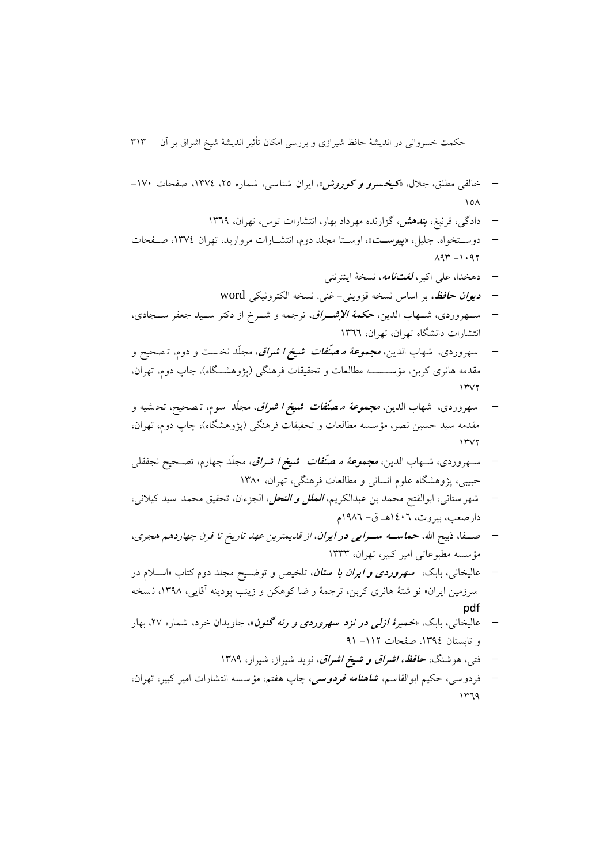- خالقی مطلق، جالل، »**کیخسرو و کوروش** «، ايران شناسی، شماره ،67 ،9824 صفحات -923  $\lambda$ 
	- دادگی، فرنبغ، **بندهش**، گزارنده مهرداد بهار، انتشارات توس، تهران، 9821
- دوسننتخواه، جلیل، »**پیوستت**«، اوسننتا مجلد دوم، انتشننارات مرواريد، تهران ،9824 صننفحات  $197 - 1.97$ 
	- دهخدا، علی اکبر، **لغتنامه**، نسخة اينترنتی
	- **دیوان حافظ،** بر اساس نسخه قزوينی- غنی. نسخه الکترونیکی word
- سننهروردی، شننهاب الدين، **حکمة اإلشتراق**، ترجمه و شننرخ از دکتر سننید جعفر سننجادی، انتشارات دانشگاه تهران، تهران، 9822
- سهروردی، شهاب الدين، **مجموعة م صنّفات شیخ ا شراق** ، مجلّد نخ ست و دوم، ت صحیح و مقدمه هانری کربن، مؤســســه مطالعات و تحقیقات فرهنگی (پژوهشــگاه)، چاپ دوم، تهران،  $1507$
- سهروردی، شهاب الدين، **مجموعة م صنّفات شیخ ا شراق** ، مجلّد سوم، ت صحیح، تح شیه و مقدمه سید حسین نصر، مؤسسه مطالعات و تحقیقات فرهنگی (پژوهشگاه)، چاپ دوم، تهران،  $1507$
- سنهروردی، شنهاب الدين، **مجموعة م صنّفات شیخ ا شراق** ، مجلّد چهارم، تصنحیح نجفقلی حبیبی، پژوهشگاه علوم انسانی و مطالعات فرهنگی، تهران، 9883
- شهر ستانی، ابوالفتح محمد بن عبدالکريم، **الملل و النحل**، الجزءان، تحقیق محمد سید کیالنی ، دارصعب، بیروت، 9432هن ق- 9182م
- صننفا، ذبیح اهلل، **حماستته ستترایی در ایران**، از قديمترين عهد تاريخ تا قرن چهاردهم هجری، مؤسسه مطبوعاتی امیر کبیر، تهران، 9888
- عالیخانی، بابس، **سهروردی و ایران با ستان** ، تلخیص و توضنیح مجلد دوم کتاب »اسنالم در سرزمین ايران» نو شتهٔ هانری کربن، ترجمهٔ ر ضا کوهکن و زينب پودينه آقايی، ۱۳۹۸، نسخه pdf
- عالیخانی، بابس، »**خمیرة ازلی در نزد سهروردی و رنه گنون** «، جاويدان خرد، شماره ،62 بهار و تابستان ١٣٩٤، صفحات ١١٢- ٩١
	- فتی، هوشنگ، **حافظ، اشراق و شیخ اشراق**، نويد شیراز، شیراز، 9881
- فردوسی، حکیم ابوالقاسم، **شاهنامه فردوسی** ، چاپ هفتم، مؤسسه انتشارات امیر کبیر، تهران،  $1479$